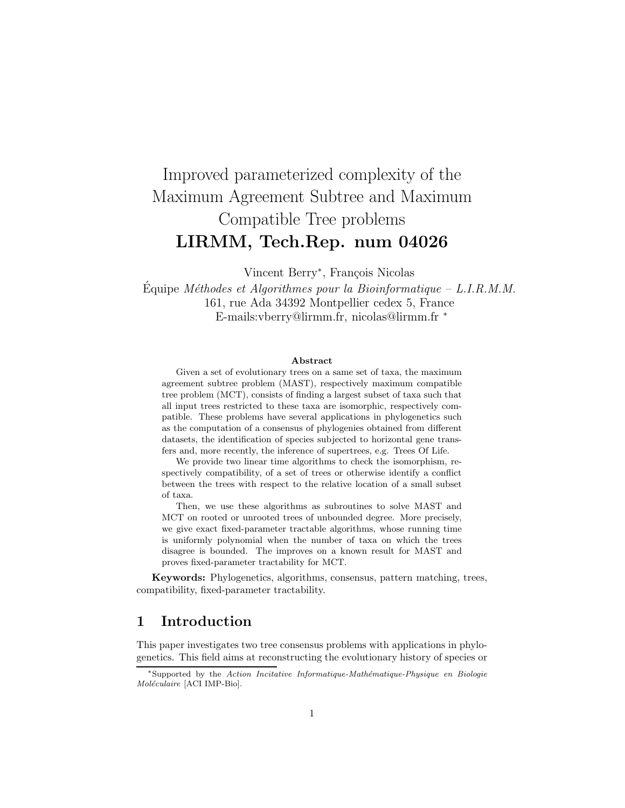# Improved parameterized complexity of the Maximum Agreement Subtree and Maximum Compatible Tree problems LIRMM, Tech.Rep. num 04026

Vincent Berry<sup>\*</sup>, François Nicolas

Equipe Méthodes et Algorithmes pour la Bioinformatique – L.I.R.M.M. 161, rue Ada 34392 Montpellier cedex 5, France E-mails:vberry@lirmm.fr, nicolas@lirmm.fr <sup>∗</sup>

#### Abstract

Given a set of evolutionary trees on a same set of taxa, the maximum agreement subtree problem (MAST), respectively maximum compatible tree problem (MCT), consists of finding a largest subset of taxa such that all input trees restricted to these taxa are isomorphic, respectively compatible. These problems have several applications in phylogenetics such as the computation of a consensus of phylogenies obtained from different datasets, the identification of species subjected to horizontal gene transfers and, more recently, the inference of supertrees, e.g. Trees Of Life.

We provide two linear time algorithms to check the isomorphism, respectively compatibility, of a set of trees or otherwise identify a conflict between the trees with respect to the relative location of a small subset of taxa.

Then, we use these algorithms as subroutines to solve MAST and MCT on rooted or unrooted trees of unbounded degree. More precisely, we give exact fixed-parameter tractable algorithms, whose running time is uniformly polynomial when the number of taxa on which the trees disagree is bounded. The improves on a known result for MAST and proves fixed-parameter tractability for MCT.

Keywords: Phylogenetics, algorithms, consensus, pattern matching, trees, compatibility, fixed-parameter tractability.

# 1 Introduction

This paper investigates two tree consensus problems with applications in phylogenetics. This field aims at reconstructing the evolutionary history of species or

 $*$ Supported by the Action Incitative Informatique-Mathématique-Physique en Biologie Moléculaire [ACI IMP-Bio].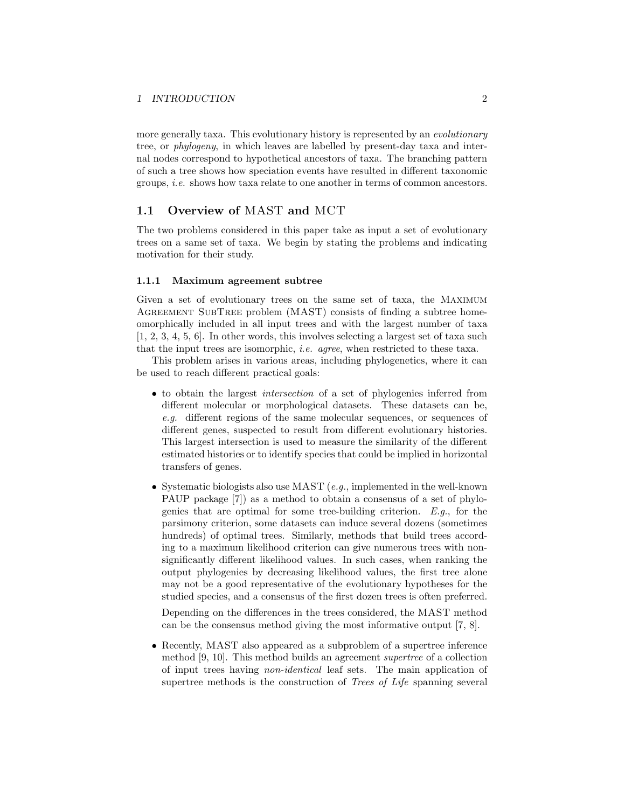more generally taxa. This evolutionary history is represented by an *evolutionary* tree, or phylogeny, in which leaves are labelled by present-day taxa and internal nodes correspond to hypothetical ancestors of taxa. The branching pattern of such a tree shows how speciation events have resulted in different taxonomic groups, i.e. shows how taxa relate to one another in terms of common ancestors.

# 1.1 Overview of MAST and MCT

The two problems considered in this paper take as input a set of evolutionary trees on a same set of taxa. We begin by stating the problems and indicating motivation for their study.

## 1.1.1 Maximum agreement subtree

Given a set of evolutionary trees on the same set of taxa, the Maximum AGREEMENT SUBTREE problem (MAST) consists of finding a subtree homeomorphically included in all input trees and with the largest number of taxa [1, 2, 3, 4, 5, 6]. In other words, this involves selecting a largest set of taxa such that the input trees are isomorphic, i.e. agree, when restricted to these taxa.

This problem arises in various areas, including phylogenetics, where it can be used to reach different practical goals:

- to obtain the largest intersection of a set of phylogenies inferred from different molecular or morphological datasets. These datasets can be, e.g. different regions of the same molecular sequences, or sequences of different genes, suspected to result from different evolutionary histories. This largest intersection is used to measure the similarity of the different estimated histories or to identify species that could be implied in horizontal transfers of genes.
- Systematic biologists also use MAST (e.g., implemented in the well-known PAUP package [7]) as a method to obtain a consensus of a set of phylogenies that are optimal for some tree-building criterion.  $E.g.,$  for the parsimony criterion, some datasets can induce several dozens (sometimes hundreds) of optimal trees. Similarly, methods that build trees according to a maximum likelihood criterion can give numerous trees with nonsignificantly different likelihood values. In such cases, when ranking the output phylogenies by decreasing likelihood values, the first tree alone may not be a good representative of the evolutionary hypotheses for the studied species, and a consensus of the first dozen trees is often preferred.

Depending on the differences in the trees considered, the MAST method can be the consensus method giving the most informative output [7, 8].

• Recently, MAST also appeared as a subproblem of a supertree inference method [9, 10]. This method builds an agreement supertree of a collection of input trees having non-identical leaf sets. The main application of supertree methods is the construction of *Trees of Life* spanning several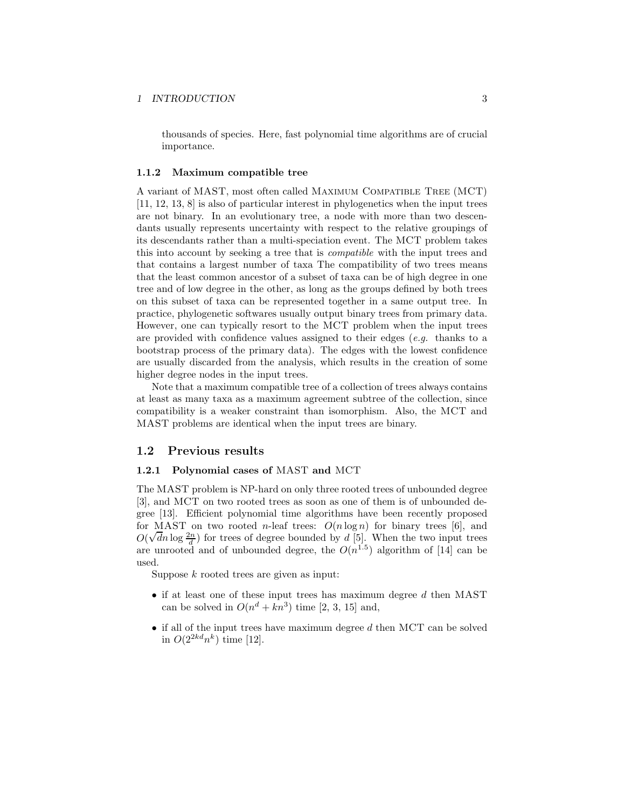thousands of species. Here, fast polynomial time algorithms are of crucial importance.

#### 1.1.2 Maximum compatible tree

A variant of MAST, most often called Maximum Compatible Tree (MCT) [11, 12, 13, 8] is also of particular interest in phylogenetics when the input trees are not binary. In an evolutionary tree, a node with more than two descendants usually represents uncertainty with respect to the relative groupings of its descendants rather than a multi-speciation event. The MCT problem takes this into account by seeking a tree that is compatible with the input trees and that contains a largest number of taxa The compatibility of two trees means that the least common ancestor of a subset of taxa can be of high degree in one tree and of low degree in the other, as long as the groups defined by both trees on this subset of taxa can be represented together in a same output tree. In practice, phylogenetic softwares usually output binary trees from primary data. However, one can typically resort to the MCT problem when the input trees are provided with confidence values assigned to their edges  $(e.q.$  thanks to a bootstrap process of the primary data). The edges with the lowest confidence are usually discarded from the analysis, which results in the creation of some higher degree nodes in the input trees.

Note that a maximum compatible tree of a collection of trees always contains at least as many taxa as a maximum agreement subtree of the collection, since compatibility is a weaker constraint than isomorphism. Also, the MCT and MAST problems are identical when the input trees are binary.

# 1.2 Previous results

#### 1.2.1 Polynomial cases of MAST and MCT

The MAST problem is NP-hard on only three rooted trees of unbounded degree [3], and MCT on two rooted trees as soon as one of them is of unbounded degree [13]. Efficient polynomial time algorithms have been recently proposed for MAST on two rooted *n*-leaf trees:  $O(n \log n)$  for binary trees [6], and  $O(\sqrt{d}n \log \frac{2n}{d})$  for trees of degree bounded by d [5]. When the two input trees are unrooted and of unbounded degree, the  $O(n^{1.5})$  algorithm of [14] can be used.

Suppose  $k$  rooted trees are given as input:

- $\bullet$  if at least one of these input trees has maximum degree  $d$  then MAST can be solved in  $O(n^d + kn^3)$  time [2, 3, 15] and,
- if all of the input trees have maximum degree  $d$  then MCT can be solved in  $O(2^{2kd}n^k)$  time [12].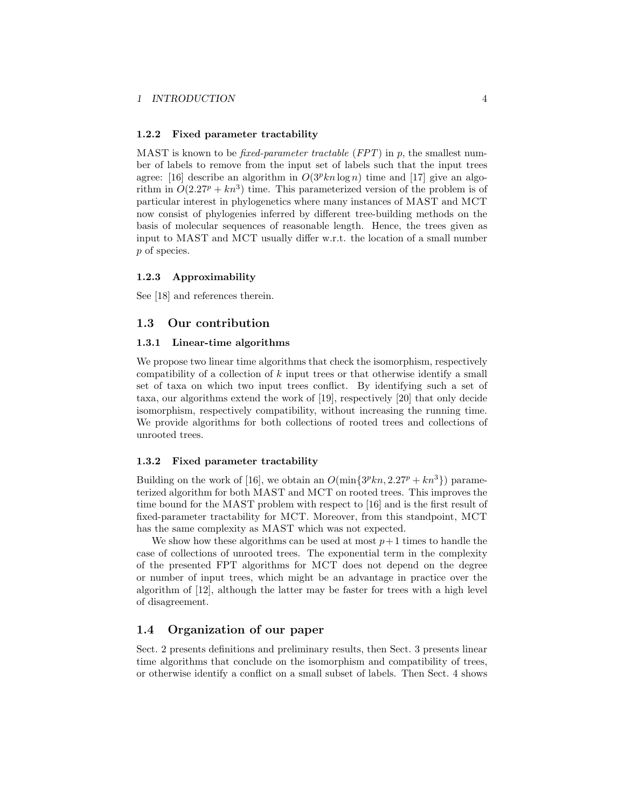#### 1.2.2 Fixed parameter tractability

MAST is known to be *fixed-parameter tractable (FPT)* in p, the smallest number of labels to remove from the input set of labels such that the input trees agree: [16] describe an algorithm in  $O(3^p kn \log n)$  time and [17] give an algorithm in  $O(2.27^p + kn^3)$  time. This parameterized version of the problem is of particular interest in phylogenetics where many instances of MAST and MCT now consist of phylogenies inferred by different tree-building methods on the basis of molecular sequences of reasonable length. Hence, the trees given as input to MAST and MCT usually differ w.r.t. the location of a small number p of species.

#### 1.2.3 Approximability

See [18] and references therein.

## 1.3 Our contribution

## 1.3.1 Linear-time algorithms

We propose two linear time algorithms that check the isomorphism, respectively compatibility of a collection of  $k$  input trees or that otherwise identify a small set of taxa on which two input trees conflict. By identifying such a set of taxa, our algorithms extend the work of [19], respectively [20] that only decide isomorphism, respectively compatibility, without increasing the running time. We provide algorithms for both collections of rooted trees and collections of unrooted trees.

## 1.3.2 Fixed parameter tractability

Building on the work of [16], we obtain an  $O(\min\{3^p k n, 2.27^p + k n^3\})$  parameterized algorithm for both MAST and MCT on rooted trees. This improves the time bound for the MAST problem with respect to [16] and is the first result of fixed-parameter tractability for MCT. Moreover, from this standpoint, MCT has the same complexity as MAST which was not expected.

We show how these algorithms can be used at most  $p+1$  times to handle the case of collections of unrooted trees. The exponential term in the complexity of the presented FPT algorithms for MCT does not depend on the degree or number of input trees, which might be an advantage in practice over the algorithm of [12], although the latter may be faster for trees with a high level of disagreement.

# 1.4 Organization of our paper

Sect. 2 presents definitions and preliminary results, then Sect. 3 presents linear time algorithms that conclude on the isomorphism and compatibility of trees, or otherwise identify a conflict on a small subset of labels. Then Sect. 4 shows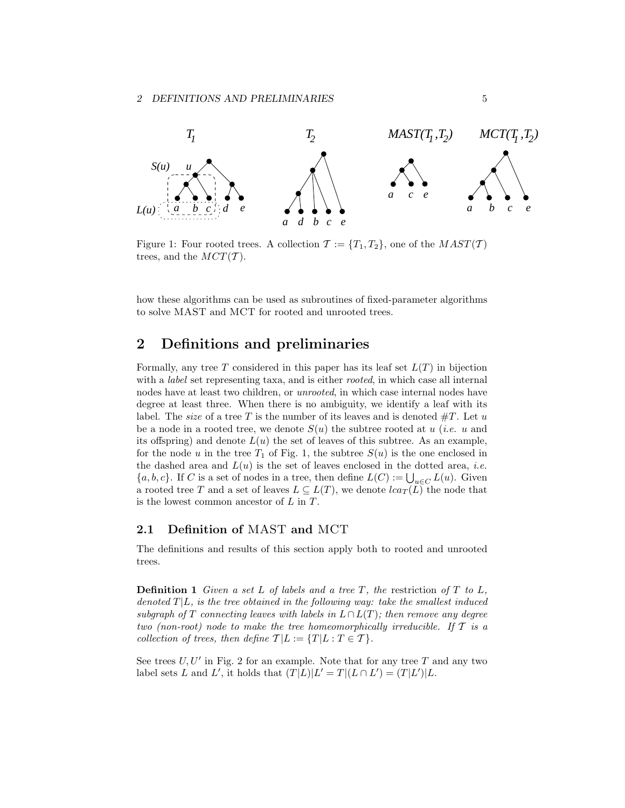

Figure 1: Four rooted trees. A collection  $\mathcal{T} := \{T_1, T_2\}$ , one of the  $MAST(\mathcal{T})$ trees, and the  $MCT(\mathcal{T})$ .

how these algorithms can be used as subroutines of fixed-parameter algorithms to solve MAST and MCT for rooted and unrooted trees.

# 2 Definitions and preliminaries

Formally, any tree T considered in this paper has its leaf set  $L(T)$  in bijection with a *label* set representing taxa, and is either *rooted*, in which case all internal nodes have at least two children, or unrooted, in which case internal nodes have degree at least three. When there is no ambiguity, we identify a leaf with its label. The *size* of a tree T is the number of its leaves and is denoted  $\#T$ . Let u be a node in a rooted tree, we denote  $S(u)$  the subtree rooted at u (*i.e.* u and its offspring) and denote  $L(u)$  the set of leaves of this subtree. As an example, for the node u in the tree  $T_1$  of Fig. 1, the subtree  $S(u)$  is the one enclosed in the dashed area and  $L(u)$  is the set of leaves enclosed in the dotted area, *i.e.*  ${a, b, c}$ . If C is a set of nodes in a tree, then define  $L(C) := \bigcup_{u \in C} L(u)$ . Given a rooted tree T and a set of leaves  $L \subseteq L(T)$ , we denote  $lca_T(L)$  the node that is the lowest common ancestor of  $L$  in  $T$ .

# 2.1 Definition of MAST and MCT

The definitions and results of this section apply both to rooted and unrooted trees.

**Definition 1** Given a set L of labels and a tree T, the restriction of T to L, denoted  $T|L$ , is the tree obtained in the following way: take the smallest induced subgraph of T connecting leaves with labels in  $L \cap L(T)$ ; then remove any degree two (non-root) node to make the tree homeomorphically irreducible. If  $T$  is a collection of trees, then define  $\mathcal{T}|L := \{T|L : T \in \mathcal{T}\}.$ 

See trees  $U, U'$  in Fig. 2 for an example. Note that for any tree  $T$  and any two label sets L and L', it holds that  $(T|L)|L' = T|(L \cap L') = (T|L')|L$ .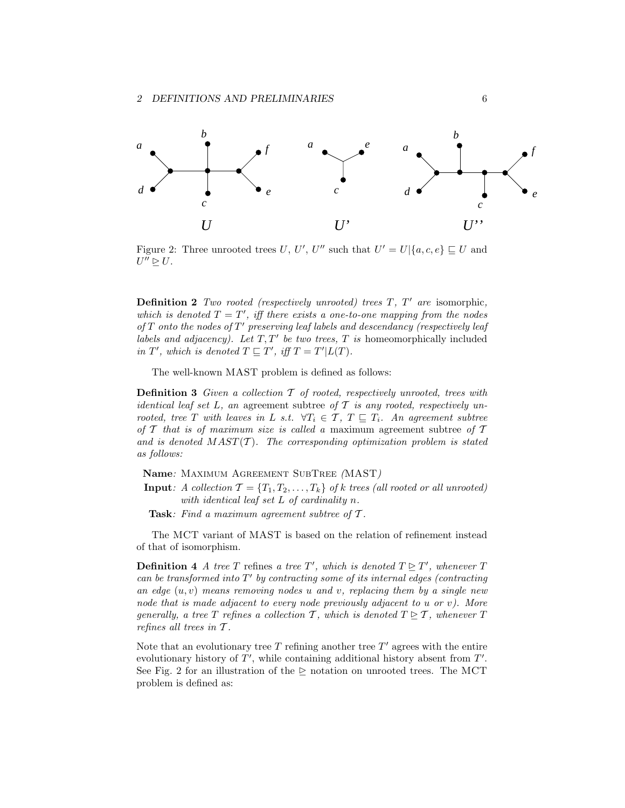

Figure 2: Three unrooted trees U, U', U'' such that  $U' = U | \{a, c, e\} \sqsubseteq U$  and  $U'' \trianglerighteq U.$ 

**Definition 2** Two rooted (respectively unrooted) trees  $T$ ,  $T'$  are isomorphic, which is denoted  $T = T'$ , iff there exists a one-to-one mapping from the nodes of  $T$  onto the nodes of  $T'$  preserving leaf labels and descendancy (respectively leaf labels and adjacency). Let  $T, T'$  be two trees,  $T$  is homeomorphically included in T', which is denoted  $T \sqsubseteq T'$ , iff  $T = T'|L(T)$ .

The well-known MAST problem is defined as follows:

**Definition 3** Given a collection  $\mathcal T$  of rooted, respectively unrooted, trees with identical leaf set L, an agreement subtree of  $T$  is any rooted, respectively unrooted, tree T with leaves in L s.t.  $\forall T_i \in \mathcal{T}, T \sqsubseteq T_i$ . An agreement subtree of T that is of maximum size is called a maximum agreement subtree of  $\mathcal T$ and is denoted  $MAST(\mathcal{T})$ . The corresponding optimization problem is stated as follows:

- Name: Maximum Agreement SubTree (MAST)
- **Input:** A collection  $\mathcal{T} = \{T_1, T_2, \ldots, T_k\}$  of k trees (all rooted or all unrooted) with identical leaf set L of cardinality n.
- Task: Find a maximum agreement subtree of T.

The MCT variant of MAST is based on the relation of refinement instead of that of isomorphism.

**Definition 4** A tree T refines a tree T', which is denoted  $T \geq T'$ , whenever T can be transformed into  $T'$  by contracting some of its internal edges (contracting an edge  $(u, v)$  means removing nodes u and v, replacing them by a single new node that is made adjacent to every node previously adjacent to u or v). More generally, a tree T refines a collection T, which is denoted  $T \trianglerighteq T$ , whenever T refines all trees in  $T$ .

Note that an evolutionary tree  $T$  refining another tree  $T'$  agrees with the entire evolutionary history of  $T'$ , while containing additional history absent from  $T'$ . See Fig. 2 for an illustration of the  $\triangleright$  notation on unrooted trees. The MCT problem is defined as: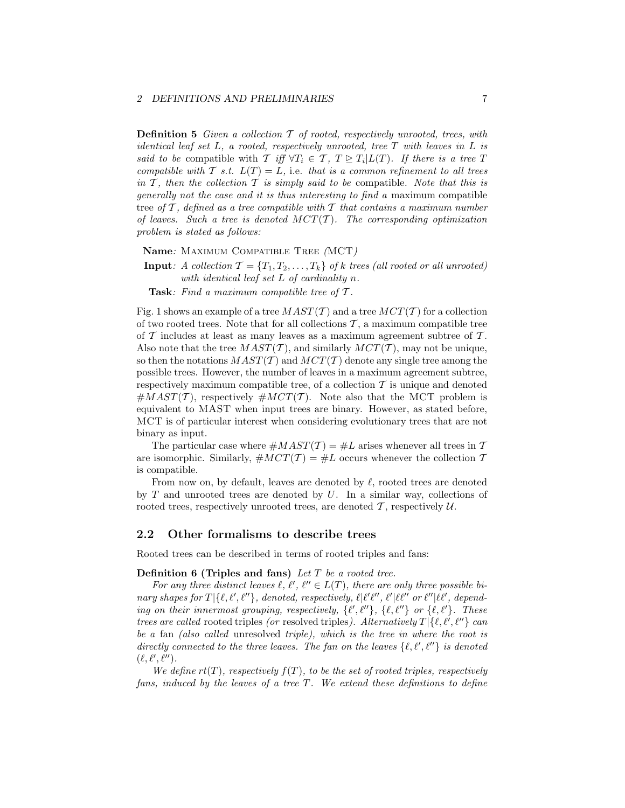# 2 DEFINITIONS AND PRELIMINARIES 7

**Definition 5** Given a collection  $\mathcal T$  of rooted, respectively unrooted, trees, with identical leaf set L, a rooted, respectively unrooted, tree T with leaves in L is said to be compatible with  $\mathcal{T}$  iff  $\forall T_i \in \mathcal{T}, T \trianglerighteq T_i | L(T)$ . If there is a tree T compatible with T s.t.  $L(T) = L$ , i.e. that is a common refinement to all trees in  $\mathcal T$ , then the collection  $\mathcal T$  is simply said to be compatible. Note that this is generally not the case and it is thus interesting to find a maximum compatible tree of  $\mathcal T$ , defined as a tree compatible with  $\mathcal T$  that contains a maximum number of leaves. Such a tree is denoted  $MCT(T)$ . The corresponding optimization problem is stated as follows:

Name: Maximum Compatible Tree (MCT)

**Input:** A collection  $\mathcal{T} = \{T_1, T_2, \ldots, T_k\}$  of k trees (all rooted or all unrooted) with identical leaf set L of cardinality n.

**Task:** Find a maximum compatible tree of  $T$ .

Fig. 1 shows an example of a tree  $MAST(\mathcal{T})$  and a tree  $MCT(\mathcal{T})$  for a collection of two rooted trees. Note that for all collections  $\mathcal{T}$ , a maximum compatible tree of  $\mathcal T$  includes at least as many leaves as a maximum agreement subtree of  $\mathcal T$ . Also note that the tree  $MAST(\mathcal{T})$ , and similarly  $MCT(\mathcal{T})$ , may not be unique, so then the notations  $MAST(\mathcal{T})$  and  $MCT(\mathcal{T})$  denote any single tree among the possible trees. However, the number of leaves in a maximum agreement subtree, respectively maximum compatible tree, of a collection  $\mathcal T$  is unique and denoted  $\#MAST(\mathcal{T})$ , respectively  $\#MCT(\mathcal{T})$ . Note also that the MCT problem is equivalent to MAST when input trees are binary. However, as stated before, MCT is of particular interest when considering evolutionary trees that are not binary as input.

The particular case where  $\#MAST(\mathcal{T}) = \#L$  arises whenever all trees in  $\mathcal T$ are isomorphic. Similarly,  $\#MCT(\mathcal{T}) = \#L$  occurs whenever the collection  $\mathcal T$ is compatible.

From now on, by default, leaves are denoted by  $\ell$ , rooted trees are denoted by  $T$  and unrooted trees are denoted by  $U$ . In a similar way, collections of rooted trees, respectively unrooted trees, are denoted  $\mathcal T$ , respectively  $\mathcal U$ .

## 2.2 Other formalisms to describe trees

Rooted trees can be described in terms of rooted triples and fans:

**Definition 6 (Triples and fans)** Let  $T$  be a rooted tree.

For any three distinct leaves  $\ell, \ell', \ell'' \in L(T)$ , there are only three possible bi $nary shapes for T | \{\ell, \ell', \ell''\}, denoted, respectively, \ell | \ell' \ell'', \ell' | \ell \ell'' or \ell'' | \ell \ell', depend$ ing on their innermost grouping, respectively,  $\{\ell', \ell''\}$ ,  $\{\ell, \ell''\}$  or  $\{\ell, \ell'\}$ . These trees are called rooted triples (or resolved triples). Alternatively  $T | \{\ell, \ell', \ell''\}$  can be a fan (also called unresolved triple), which is the tree in where the root is directly connected to the three leaves. The fan on the leaves  $\{\ell, \ell', \ell''\}$  is denoted  $(\ell, \ell', \ell'').$ 

We define  $rt(T)$ , respectively  $f(T)$ , to be the set of rooted triples, respectively fans, induced by the leaves of a tree  $T$ . We extend these definitions to define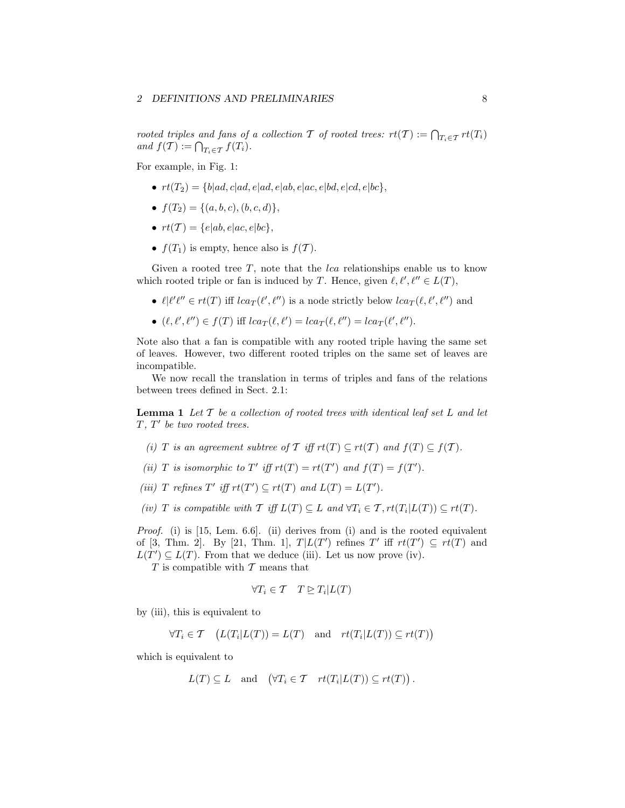rooted triples and fans of a collection T of rooted trees:  $rt(T) := \bigcap_{T_i \in \mathcal{T}} rt(T_i)$ and  $f(\mathcal{T}) := \bigcap_{T_i \in \mathcal{T}} f(T_i).$ 

For example, in Fig. 1:

- $rt(T_2) = \{b|ad, c|ad, e|ad, e|ab, e|ac, e|bd, e|cd, e|bc\},\$
- $f(T_2) = \{(a, b, c), (b, c, d)\},\$
- $rt(\mathcal{T}) = \{e|ab, e|ac, e|bc\},\$
- $f(T_1)$  is empty, hence also is  $f(\mathcal{T})$ .

Given a rooted tree  $T$ , note that the *lca* relationships enable us to know which rooted triple or fan is induced by T. Hence, given  $\ell, \ell', \ell'' \in L(T)$ ,

- $\ell | \ell' \ell'' \in rt(T)$  iff  $lca_T(\ell', \ell'')$  is a node strictly below  $lca_T(\ell, \ell', \ell'')$  and
- $(\ell, \ell', \ell'') \in f(T)$  iff  $lca_T(\ell, \ell') = lca_T(\ell, \ell'') = lca_T(\ell', \ell'').$

Note also that a fan is compatible with any rooted triple having the same set of leaves. However, two different rooted triples on the same set of leaves are incompatible.

We now recall the translation in terms of triples and fans of the relations between trees defined in Sect. 2.1:

**Lemma 1** Let  $T$  be a collection of rooted trees with identical leaf set  $L$  and let  $T, T'$  be two rooted trees.

- (i) T is an agreement subtree of T iff  $rt(T) \subseteq rt(T)$  and  $f(T) \subseteq f(T)$ .
- (ii) T is isomorphic to T' iff  $rt(T) = rt(T')$  and  $f(T) = f(T')$ .
- (iii) T refines  $T'$  iff  $rt(T') \subseteq rt(T)$  and  $L(T) = L(T')$ .

(iv) T is compatible with  $\mathcal T$  iff  $L(T) \subseteq L$  and  $\forall T_i \in \mathcal T, rt(T_i | L(T)) \subseteq rt(T)$ .

*Proof.* (i) is [15, Lem. 6.6]. (ii) derives from (i) and is the rooted equivalent of  $[3, Thm. 2]$ . By  $[21, Thm. 1]$ ,  $T|L(T')$  refines T' iff  $rt(T') \subseteq rt(T)$  and  $L(T') \subseteq L(T)$ . From that we deduce (iii). Let us now prove (iv).

 $T$  is compatible with  $T$  means that

$$
\forall T_i \in \mathcal{T} \quad T \trianglerighteq T_i | L(T)
$$

by (iii), this is equivalent to

$$
\forall T_i \in \mathcal{T} \quad \big(L(T_i|L(T)) = L(T) \quad \text{and} \quad rt(T_i|L(T)) \subseteq rt(T)\big)
$$

which is equivalent to

$$
L(T) \subseteq L
$$
 and  $(\forall T_i \in T$   $rt(T_i|L(T)) \subseteq rt(T))$ .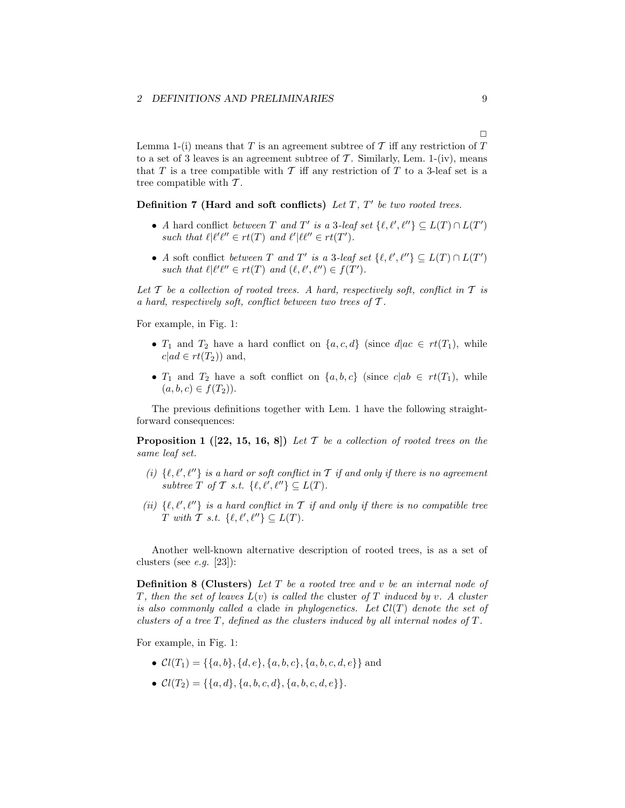#### 2 DEFINITIONS AND PRELIMINARIES 9

Lemma 1-(i) means that T is an agreement subtree of T iff any restriction of T to a set of 3 leaves is an agreement subtree of  $\mathcal T$ . Similarly, Lem. 1-(iv), means that T is a tree compatible with T iff any restriction of T to a 3-leaf set is a tree compatible with  $\mathcal{T}$ .

Definition 7 (Hard and soft conflicts) Let  $T$ ,  $T'$  be two rooted trees.

- A hard conflict between T and T' is a 3-leaf set  $\{\ell, \ell', \ell''\} \subseteq L(T) \cap L(T')$ such that  $\ell | \ell' \ell'' \in rt(T)$  and  $\ell' | \ell \ell'' \in rt(T')$ .
- A soft conflict between T and T' is a 3-leaf set  $\{\ell, \ell', \ell''\} \subseteq L(T) \cap L(T')$ such that  $\ell | \ell' \ell'' \in rt(T)$  and  $(\ell, \ell', \ell'') \in f(T')$ .

Let T be a collection of rooted trees. A hard, respectively soft, conflict in T is a hard, respectively soft, conflict between two trees of  $\mathcal{T}$ .

For example, in Fig. 1:

- $T_1$  and  $T_2$  have a hard conflict on  $\{a, c, d\}$  (since  $d|ac \in rt(T_1)$ , while  $c|ad \in rt(T_2)$  and,
- $T_1$  and  $T_2$  have a soft conflict on  $\{a, b, c\}$  (since  $c|ab \in rt(T_1)$ , while  $(a, b, c) \in f(T_2)$ .

The previous definitions together with Lem. 1 have the following straightforward consequences:

**Proposition 1** ([22, 15, 16, 8]) Let T be a collection of rooted trees on the same leaf set.

- (i)  $\{\ell, \ell', \ell''\}$  is a hard or soft conflict in T if and only if there is no agreement subtree T of T s.t.  $\{\ell, \ell', \ell''\} \subseteq L(T)$ .
- (ii)  $\{\ell, \ell', \ell''\}$  is a hard conflict in T if and only if there is no compatible tree T with T s.t.  $\{\ell, \ell', \ell''\} \subseteq L(T)$ .

Another well-known alternative description of rooted trees, is as a set of clusters (see *e.g.* [23]):

**Definition 8 (Clusters)** Let  $T$  be a rooted tree and  $v$  be an internal node of T, then the set of leaves  $L(v)$  is called the cluster of T induced by v. A cluster is also commonly called a clade in phylogenetics. Let  $Cl(T)$  denote the set of clusters of a tree  $T$ , defined as the clusters induced by all internal nodes of  $T$ .

For example, in Fig. 1:

- $Cl(T_1) = \{\{a, b\}, \{d, e\}, \{a, b, c\}, \{a, b, c, d, e\}\}\$ and
- $Cl(T_2) = \{ \{a, d\}, \{a, b, c, d\}, \{a, b, c, d, e\} \}.$

 $\Box$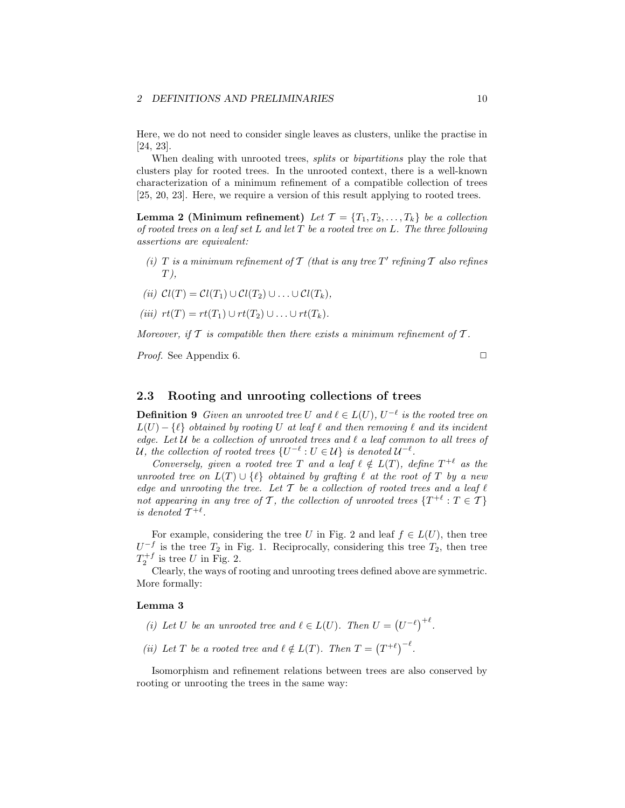## 2 DEFINITIONS AND PRELIMINARIES 10

Here, we do not need to consider single leaves as clusters, unlike the practise in [24, 23].

When dealing with unrooted trees, *splits* or *bipartitions* play the role that clusters play for rooted trees. In the unrooted context, there is a well-known characterization of a minimum refinement of a compatible collection of trees [25, 20, 23]. Here, we require a version of this result applying to rooted trees.

**Lemma 2 (Minimum refinement)** Let  $\mathcal{T} = \{T_1, T_2, \ldots, T_k\}$  be a collection of rooted trees on a leaf set  $L$  and let  $T$  be a rooted tree on  $L$ . The three following assertions are equivalent:

- (i) T is a minimum refinement of  $T$  (that is any tree  $T'$  refining  $T$  also refines  $T$ ),
- (ii)  $Cl(T) = Cl(T_1) \cup Cl(T_2) \cup \ldots \cup Cl(T_k),$
- (iii)  $rt(T) = rt(T_1) \cup rt(T_2) \cup \ldots \cup rt(T_k).$

Moreover, if  $T$  is compatible then there exists a minimum refinement of  $T$ .

*Proof.* See Appendix 6.  $\Box$ 

# 2.3 Rooting and unrooting collections of trees

**Definition 9** Given an unrooted tree U and  $\ell \in L(U)$ ,  $U^{-\ell}$  is the rooted tree on  $L(U) - \{\ell\}$  obtained by rooting U at leaf  $\ell$  and then removing  $\ell$  and its incident edge. Let  $U$  be a collection of unrooted trees and  $\ell$  a leaf common to all trees of U, the collection of rooted trees  $\{U^{-\ell}: U \in \mathcal{U}\}\$ is denoted  $\mathcal{U}^{-\ell}$ .

Conversely, given a rooted tree T and a leaf  $\ell \notin L(T)$ , define  $T^{+\ell}$  as the unrooted tree on  $L(T) \cup \{\ell\}$  obtained by grafting  $\ell$  at the root of T by a new edge and unrooting the tree. Let  $T$  be a collection of rooted trees and a leaf  $\ell$ not appearing in any tree of T, the collection of unrooted trees  $\{T^{+\ell}: T \in \mathcal{T}\}\$ is denoted  $\mathcal{T}^{+\ell}$ .

For example, considering the tree U in Fig. 2 and leaf  $f \in L(U)$ , then tree  $U^{-f}$  is the tree  $T_2$  in Fig. 1. Reciprocally, considering this tree  $T_2$ , then tree  $T_2^{+f}$  is tree U in Fig. 2.

Clearly, the ways of rooting and unrooting trees defined above are symmetric. More formally:

#### Lemma 3

- (i) Let U be an unrooted tree and  $\ell \in L(U)$ . Then  $U = (U^{-\ell})^{+\ell}$ .
- (ii) Let T be a rooted tree and  $\ell \notin L(T)$ . Then  $T = (T^{+\ell})^{-\ell}$ .

Isomorphism and refinement relations between trees are also conserved by rooting or unrooting the trees in the same way: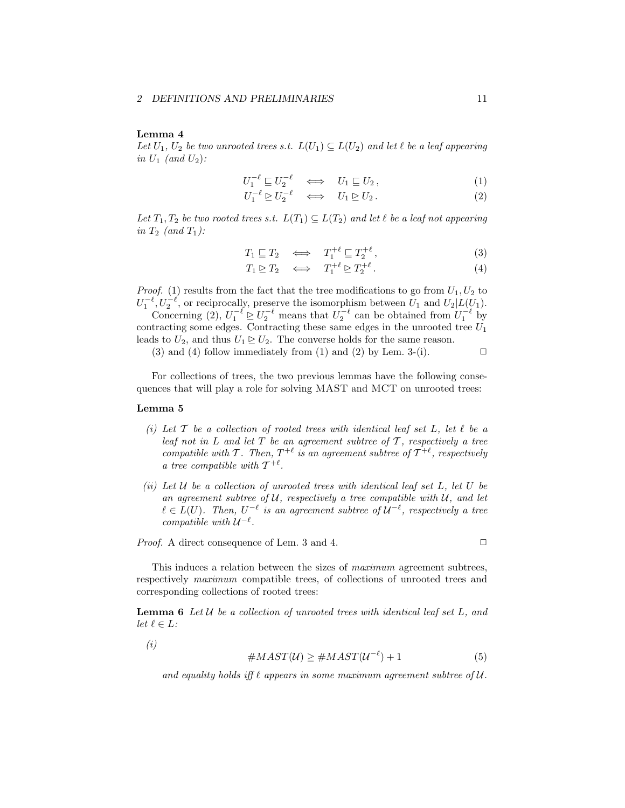### Lemma 4

Let  $U_1, U_2$  be two unrooted trees s.t.  $L(U_1) \subseteq L(U_2)$  and let  $\ell$  be a leaf appearing in  $U_1$  (and  $U_2$ ):

$$
U_1^{-\ell} \sqsubseteq U_2^{-\ell} \iff U_1 \sqsubseteq U_2, \tag{1}
$$

$$
U_1^{-\ell} \trianglerighteq U_2^{-\ell} \iff U_1 \trianglerighteq U_2. \tag{2}
$$

Let  $T_1, T_2$  be two rooted trees s.t.  $L(T_1) \subseteq L(T_2)$  and let  $\ell$  be a leaf not appearing in  $T_2$  (and  $T_1$ ):

$$
T_1 \sqsubseteq T_2 \iff T_1^{+\ell} \sqsubseteq T_2^{+\ell}, \tag{3}
$$

$$
T_1 \trianglerighteq T_2 \quad \Longleftrightarrow \quad T_1^{+\ell} \trianglerighteq T_2^{+\ell} \,. \tag{4}
$$

*Proof.* (1) results from the fact that the tree modifications to go from  $U_1, U_2$  to  $U_1^{-\ell}$ ,  $U_2^{-\ell}$ , or reciprocally, preserve the isomorphism between  $U_1$  and  $U_2|L(U_1)$ .

Concerning (2),  $U_1^{-\ell} \trianglerighteq U_2^{-\ell}$  means that  $U_2^{-\ell}$  can be obtained from  $U_1^{-\ell}$  by contracting some edges. Contracting these same edges in the unrooted tree  $U_1$ leads to  $U_2$ , and thus  $U_1 \trianglerighteq U_2$ . The converse holds for the same reason.

(3) and (4) follow immediately from (1) and (2) by Lem. 3-(i).  $\Box$ 

For collections of trees, the two previous lemmas have the following consequences that will play a role for solving MAST and MCT on unrooted trees:

#### Lemma 5

- (i) Let  $\mathcal T$  be a collection of rooted trees with identical leaf set L, let  $\ell$  be a leaf not in  $L$  and let  $T$  be an agreement subtree of  $T$ , respectively a tree compatible with T. Then,  $T^{+\ell}$  is an agreement subtree of  $T^{+\ell}$ , respectively a tree compatible with  $\mathcal{T}^{+\ell}$ .
- (ii) Let  $U$  be a collection of unrooted trees with identical leaf set  $L$ , let  $U$  be an agreement subtree of  $U$ , respectively a tree compatible with  $U$ , and let  $\ell \in L(U)$ . Then,  $U^{-\ell}$  is an agreement subtree of  $\mathcal{U}^{-\ell}$ , respectively a tree compatible with  $U^{-\ell}$ .

Proof. A direct consequence of Lem. 3 and 4.

$$
\qquad \qquad \Box
$$

This induces a relation between the sizes of maximum agreement subtrees, respectively maximum compatible trees, of collections of unrooted trees and corresponding collections of rooted trees:

**Lemma 6** Let  $U$  be a collection of unrooted trees with identical leaf set  $L$ , and let  $\ell \in L$ :

(i)

$$
#MAST(\mathcal{U}) \geq #MAST(\mathcal{U}^{-\ell}) + 1
$$
\n(5)

and equality holds iff  $\ell$  appears in some maximum agreement subtree of  $\mathcal{U}$ .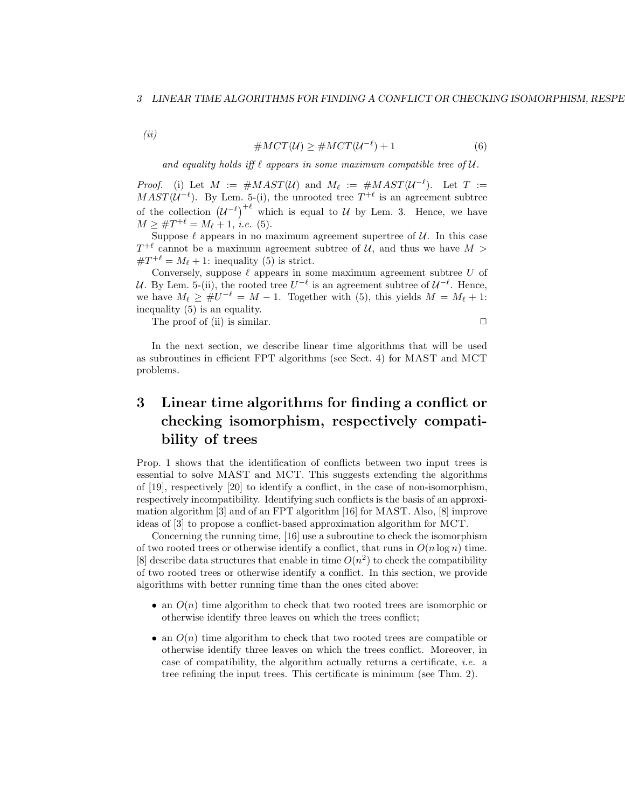#### 3 LINEAR TIME ALGORITHMS FOR FINDING A CONFLICT OR CHECKING ISOMORPHISM, RESPE

(ii)

$$
#MCT(\mathcal{U}) \geq #MCT(\mathcal{U}^{-\ell}) + 1
$$
\n(6)

and equality holds if  $\ell$  appears in some maximum compatible tree of  $\mathcal{U}$ .

*Proof.* (i) Let  $M := \#MASKT(\mathcal{U})$  and  $M_{\ell} := \#MASKT(\mathcal{U}^{-\ell})$ . Let  $T :=$  $MAST(U^{-\ell})$ . By Lem. 5-(i), the unrooted tree  $T^{+\ell}$  is an agreement subtree of the collection  $(U^{-\ell})^{+\ell}$  which is equal to U by Lem. 3. Hence, we have  $M \geq \#T^{+\ell} = M_{\ell} + 1, \, \text{i.e.}$  (5).

Suppose  $\ell$  appears in no maximum agreement supertree of  $\mathcal{U}$ . In this case  $T^{+\ell}$  cannot be a maximum agreement subtree of U, and thus we have  $M >$  $\#T^{+\ell} = M_{\ell} + 1$ : inequality (5) is strict.

Conversely, suppose  $\ell$  appears in some maximum agreement subtree  $U$  of U. By Lem. 5-(ii), the rooted tree  $U^{-\ell}$  is an agreement subtree of  $\mathcal{U}^{-\ell}$ . Hence, we have  $M_{\ell} \geq \#U^{-\ell} = M - 1$ . Together with (5), this yields  $M = M_{\ell} + 1$ : inequality (5) is an equality.

The proof of (ii) is similar.  $\Box$ 

In the next section, we describe linear time algorithms that will be used as subroutines in efficient FPT algorithms (see Sect. 4) for MAST and MCT problems.

# 3 Linear time algorithms for finding a conflict or checking isomorphism, respectively compatibility of trees

Prop. 1 shows that the identification of conflicts between two input trees is essential to solve MAST and MCT. This suggests extending the algorithms of [19], respectively [20] to identify a conflict, in the case of non-isomorphism, respectively incompatibility. Identifying such conflicts is the basis of an approximation algorithm [3] and of an FPT algorithm [16] for MAST. Also, [8] improve ideas of [3] to propose a conflict-based approximation algorithm for MCT.

Concerning the running time, [16] use a subroutine to check the isomorphism of two rooted trees or otherwise identify a conflict, that runs in  $O(n \log n)$  time. [8] describe data structures that enable in time  $O(n^2)$  to check the compatibility of two rooted trees or otherwise identify a conflict. In this section, we provide algorithms with better running time than the ones cited above:

- an  $O(n)$  time algorithm to check that two rooted trees are isomorphic or otherwise identify three leaves on which the trees conflict;
- an  $O(n)$  time algorithm to check that two rooted trees are compatible or otherwise identify three leaves on which the trees conflict. Moreover, in case of compatibility, the algorithm actually returns a certificate, i.e. a tree refining the input trees. This certificate is minimum (see Thm. 2).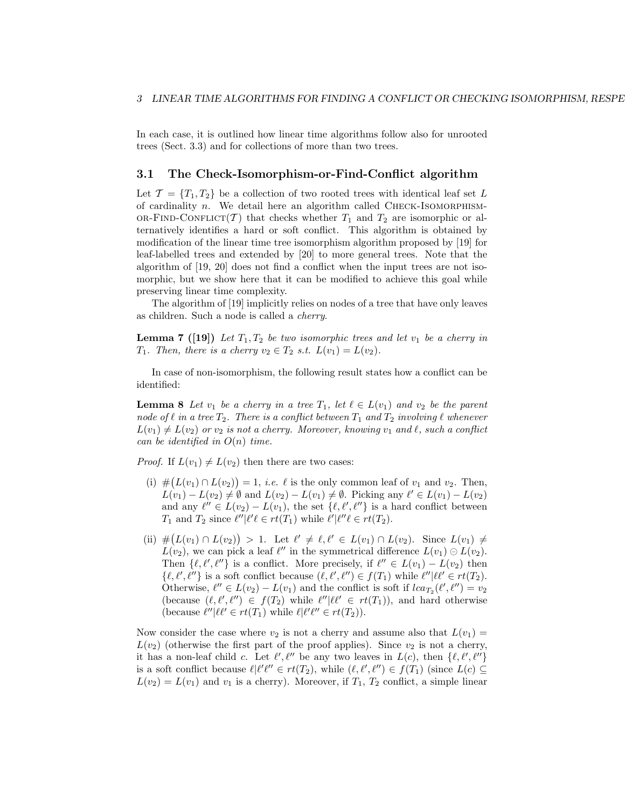In each case, it is outlined how linear time algorithms follow also for unrooted trees (Sect. 3.3) and for collections of more than two trees.

# 3.1 The Check-Isomorphism-or-Find-Conflict algorithm

Let  $\mathcal{T} = \{T_1, T_2\}$  be a collection of two rooted trees with identical leaf set L of cardinality  $n$ . We detail here an algorithm called CHECK-ISOMORPHISM-OR-FIND-CONFLICT(T) that checks whether  $T_1$  and  $T_2$  are isomorphic or alternatively identifies a hard or soft conflict. This algorithm is obtained by modification of the linear time tree isomorphism algorithm proposed by [19] for leaf-labelled trees and extended by [20] to more general trees. Note that the algorithm of [19, 20] does not find a conflict when the input trees are not isomorphic, but we show here that it can be modified to achieve this goal while preserving linear time complexity.

The algorithm of [19] implicitly relies on nodes of a tree that have only leaves as children. Such a node is called a cherry.

**Lemma 7** ([19]) Let  $T_1, T_2$  be two isomorphic trees and let  $v_1$  be a cherry in  $T_1$ . Then, there is a cherry  $v_2 \in T_2$  s.t.  $L(v_1) = L(v_2)$ .

In case of non-isomorphism, the following result states how a conflict can be identified:

**Lemma 8** Let  $v_1$  be a cherry in a tree  $T_1$ , let  $\ell \in L(v_1)$  and  $v_2$  be the parent node of  $\ell$  in a tree  $T_2$ . There is a conflict between  $T_1$  and  $T_2$  involving  $\ell$  whenever  $L(v_1) \neq L(v_2)$  or  $v_2$  is not a cherry. Moreover, knowing  $v_1$  and  $\ell$ , such a conflict can be identified in  $O(n)$  time.

*Proof.* If  $L(v_1) \neq L(v_2)$  then there are two cases:

- (i)  $\#(L(v_1) \cap L(v_2)) = 1$ , *i.e.*  $\ell$  is the only common leaf of  $v_1$  and  $v_2$ . Then,  $L(v_1) - L(v_2) \neq \emptyset$  and  $L(v_2) - L(v_1) \neq \emptyset$ . Picking any  $\ell' \in L(v_1) - L(v_2)$ and any  $\ell'' \in L(v_2) - L(v_1)$ , the set  $\{\ell, \ell', \ell''\}$  is a hard conflict between  $T_1$  and  $T_2$  since  $\ell''|\ell' \ell \in rt(T_1)$  while  $\ell'|\ell'' \ell \in rt(T_2)$ .
- (ii)  $\#(L(v_1) \cap L(v_2)) > 1$ . Let  $\ell' \neq \ell, \ell' \in L(v_1) \cap L(v_2)$ . Since  $L(v_1) \neq$  $L(v_2)$ , we can pick a leaf  $\ell''$  in the symmetrical difference  $L(v_1) \ominus L(v_2)$ . Then  $\{\ell, \ell', \ell''\}$  is a conflict. More precisely, if  $\ell'' \in L(v_1) - L(v_2)$  then  $\{\ell, \ell', \ell''\}$  is a soft conflict because  $(\ell, \ell', \ell'') \in f(T_1)$  while  $\ell''|\ell\ell' \in rt(T_2)$ . Otherwise,  $\ell'' \in L(v_2) - L(v_1)$  and the conflict is soft if  $lca_{T_2}(\ell', \ell'') = v_2$ (because  $(\ell, \ell', \ell'') \in f(T_2)$  while  $\ell''|\ell\ell' \in rt(T_1)$ ), and hard otherwise (because  $\ell''|\ell\ell' \in rt(T_1)$  while  $\ell|\ell'\ell'' \in rt(T_2)$ ).

Now consider the case where  $v_2$  is not a cherry and assume also that  $L(v_1)$  =  $L(v_2)$  (otherwise the first part of the proof applies). Since  $v_2$  is not a cherry, it has a non-leaf child c. Let  $\ell', \ell''$  be any two leaves in  $L(c)$ , then  $\{\ell, \ell', \ell''\}$ is a soft conflict because  $\ell \ell' \ell'' \in rt(T_2)$ , while  $(\ell, \ell', \ell'') \in f(T_1)$  (since  $L(c) \subseteq$  $L(v_2) = L(v_1)$  and  $v_1$  is a cherry). Moreover, if  $T_1, T_2$  conflict, a simple linear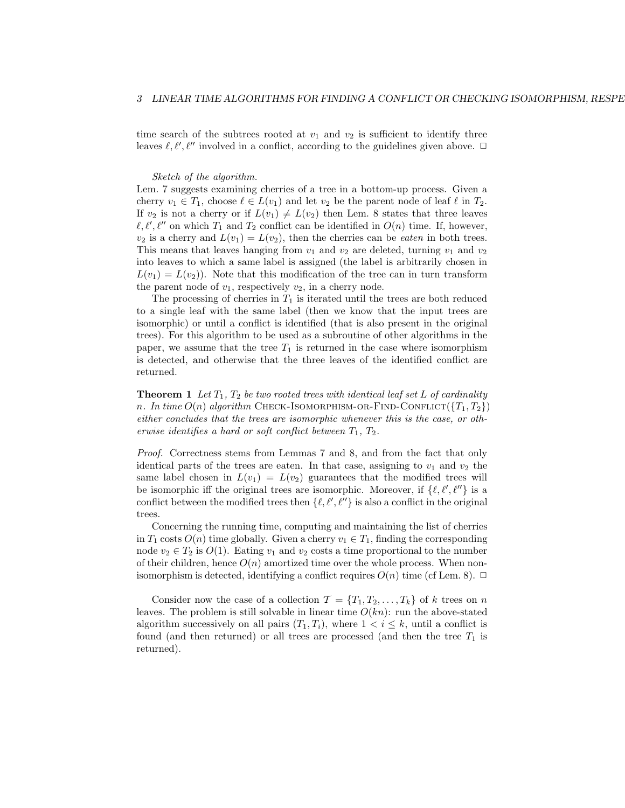time search of the subtrees rooted at  $v_1$  and  $v_2$  is sufficient to identify three leaves  $\ell, \ell', \ell''$  involved in a conflict, according to the guidelines given above.  $\Box$ 

Sketch of the algorithm.

Lem. 7 suggests examining cherries of a tree in a bottom-up process. Given a cherry  $v_1 \in T_1$ , choose  $\ell \in L(v_1)$  and let  $v_2$  be the parent node of leaf  $\ell$  in  $T_2$ . If  $v_2$  is not a cherry or if  $L(v_1) \neq L(v_2)$  then Lem. 8 states that three leaves  $\ell, \ell', \ell''$  on which  $T_1$  and  $T_2$  conflict can be identified in  $O(n)$  time. If, however,  $v_2$  is a cherry and  $L(v_1) = L(v_2)$ , then the cherries can be *eaten* in both trees. This means that leaves hanging from  $v_1$  and  $v_2$  are deleted, turning  $v_1$  and  $v_2$ into leaves to which a same label is assigned (the label is arbitrarily chosen in  $L(v_1) = L(v_2)$ . Note that this modification of the tree can in turn transform the parent node of  $v_1$ , respectively  $v_2$ , in a cherry node.

The processing of cherries in  $T_1$  is iterated until the trees are both reduced to a single leaf with the same label (then we know that the input trees are isomorphic) or until a conflict is identified (that is also present in the original trees). For this algorithm to be used as a subroutine of other algorithms in the paper, we assume that the tree  $T_1$  is returned in the case where isomorphism is detected, and otherwise that the three leaves of the identified conflict are returned.

**Theorem 1** Let  $T_1$ ,  $T_2$  be two rooted trees with identical leaf set L of cardinality n. In time  $O(n)$  algorithm CHECK-ISOMORPHISM-OR-FIND-CONFLICT( ${T_1, T_2}$ ) either concludes that the trees are isomorphic whenever this is the case, or otherwise identifies a hard or soft conflict between  $T_1, T_2$ .

Proof. Correctness stems from Lemmas 7 and 8, and from the fact that only identical parts of the trees are eaten. In that case, assigning to  $v_1$  and  $v_2$  the same label chosen in  $L(v_1) = L(v_2)$  guarantees that the modified trees will be isomorphic iff the original trees are isomorphic. Moreover, if  $\{\ell, \ell', \ell''\}$  is a conflict between the modified trees then  $\{\ell, \ell', \ell''\}$  is also a conflict in the original trees.

Concerning the running time, computing and maintaining the list of cherries in  $T_1$  costs  $O(n)$  time globally. Given a cherry  $v_1 \in T_1$ , finding the corresponding node  $v_2 \in T_2$  is  $O(1)$ . Eating  $v_1$  and  $v_2$  costs a time proportional to the number of their children, hence  $O(n)$  amortized time over the whole process. When nonisomorphism is detected, identifying a conflict requires  $O(n)$  time (cf Lem. 8).  $\Box$ 

Consider now the case of a collection  $\mathcal{T} = \{T_1, T_2, \ldots, T_k\}$  of k trees on n leaves. The problem is still solvable in linear time  $O(kn)$ : run the above-stated algorithm successively on all pairs  $(T_1, T_i)$ , where  $1 < i \leq k$ , until a conflict is found (and then returned) or all trees are processed (and then the tree  $T_1$  is returned).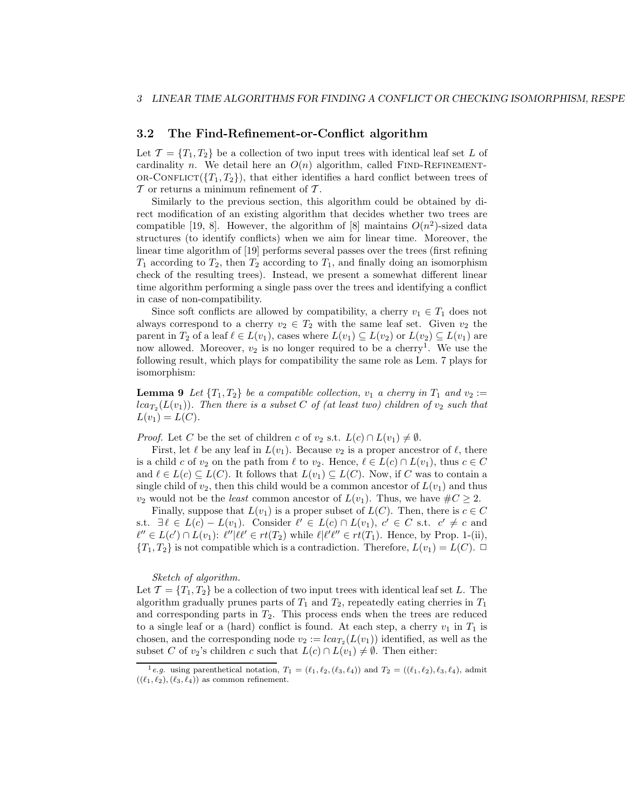## 3.2 The Find-Refinement-or-Conflict algorithm

Let  $\mathcal{T} = \{T_1, T_2\}$  be a collection of two input trees with identical leaf set L of cardinality n. We detail here an  $O(n)$  algorithm, called FIND-REFINEMENT-OR-CONFLICT( ${T_1, T_2}$ ), that either identifies a hard conflict between trees of  $\mathcal T$  or returns a minimum refinement of  $\mathcal T$ .

Similarly to the previous section, this algorithm could be obtained by direct modification of an existing algorithm that decides whether two trees are compatible [19, 8]. However, the algorithm of [8] maintains  $O(n^2)$ -sized data structures (to identify conflicts) when we aim for linear time. Moreover, the linear time algorithm of [19] performs several passes over the trees (first refining  $T_1$  according to  $T_2$ , then  $T_2$  according to  $T_1$ , and finally doing an isomorphism check of the resulting trees). Instead, we present a somewhat different linear time algorithm performing a single pass over the trees and identifying a conflict in case of non-compatibility.

Since soft conflicts are allowed by compatibility, a cherry  $v_1 \in T_1$  does not always correspond to a cherry  $v_2 \in T_2$  with the same leaf set. Given  $v_2$  the parent in  $T_2$  of a leaf  $\ell \in L(v_1)$ , cases where  $L(v_1) \subseteq L(v_2)$  or  $L(v_2) \subseteq L(v_1)$  are now allowed. Moreover,  $v_2$  is no longer required to be a cherry<sup>1</sup>. We use the following result, which plays for compatibility the same role as Lem. 7 plays for isomorphism:

**Lemma 9** Let  $\{T_1, T_2\}$  be a compatible collection,  $v_1$  a cherry in  $T_1$  and  $v_2 :=$  $lca_{T_2}(L(v_1))$ . Then there is a subset C of (at least two) children of  $v_2$  such that  $L(v_1) = L(C)$ .

*Proof.* Let C be the set of children c of  $v_2$  s.t.  $L(c) \cap L(v_1) \neq \emptyset$ .

First, let  $\ell$  be any leaf in  $L(v_1)$ . Because  $v_2$  is a proper ancestror of  $\ell$ , there is a child c of  $v_2$  on the path from  $\ell$  to  $v_2$ . Hence,  $\ell \in L(c) \cap L(v_1)$ , thus  $c \in C$ and  $\ell \in L(c) \subseteq L(C)$ . It follows that  $L(v_1) \subseteq L(C)$ . Now, if C was to contain a single child of  $v_2$ , then this child would be a common ancestor of  $L(v_1)$  and thus  $v_2$  would not be the *least* common ancestor of  $L(v_1)$ . Thus, we have  $\#C \geq 2$ .

Finally, suppose that  $L(v_1)$  is a proper subset of  $L(C)$ . Then, there is  $c \in C$ s.t.  $\exists \ell \in L(c) - L(v_1)$ . Consider  $\ell' \in L(c) \cap L(v_1)$ ,  $c' \in C$  s.t.  $c' \neq c$  and  $\ell'' \in L(c') \cap L(v_1): \ell''|\ell\ell' \in rt(T_2)$  while  $\ell|\ell'\ell'' \in rt(T_1)$ . Hence, by Prop. 1-(ii),  ${T_1, T_2}$  is not compatible which is a contradiction. Therefore,  $L(v_1) = L(C)$ .  $\Box$ 

#### Sketch of algorithm.

Let  $\mathcal{T} = \{T_1, T_2\}$  be a collection of two input trees with identical leaf set L. The algorithm gradually prunes parts of  $T_1$  and  $T_2$ , repeatedly eating cherries in  $T_1$ and corresponding parts in  $T_2$ . This process ends when the trees are reduced to a single leaf or a (hard) conflict is found. At each step, a cherry  $v_1$  in  $T_1$  is chosen, and the corresponding node  $v_2 := \text{lc} a_{T_2}(L(v_1))$  identified, as well as the subset C of  $v_2$ 's children c such that  $L(c) \cap L(v_1) \neq \emptyset$ . Then either:

<sup>&</sup>lt;sup>1</sup>e.g. using parenthetical notation,  $T_1 = (\ell_1, \ell_2, (\ell_3, \ell_4))$  and  $T_2 = ((\ell_1, \ell_2), \ell_3, \ell_4)$ , admit  $((\ell_1, \ell_2), (\ell_3, \ell_4))$  as common refinement.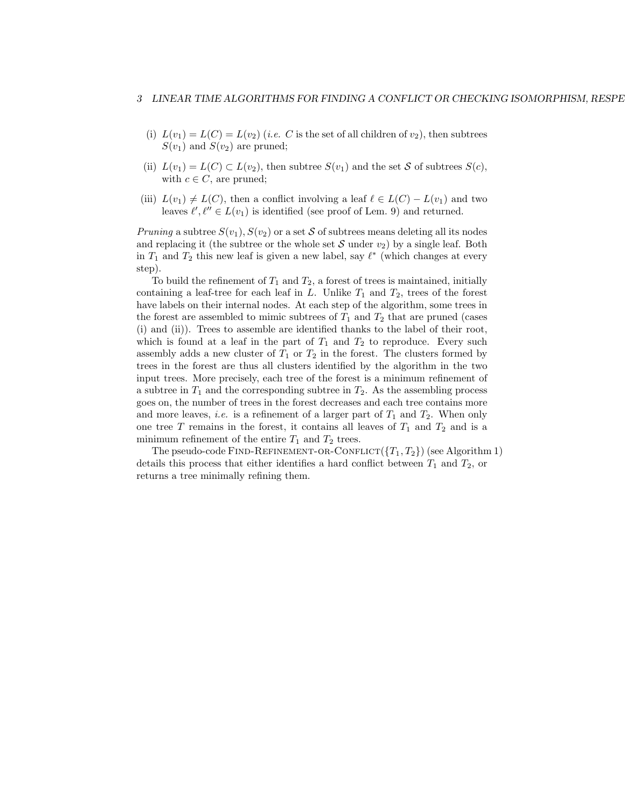- (i)  $L(v_1) = L(C) = L(v_2)$  (i.e. C is the set of all children of  $v_2$ ), then subtrees  $S(v_1)$  and  $S(v_2)$  are pruned;
- (ii)  $L(v_1) = L(C) \subset L(v_2)$ , then subtree  $S(v_1)$  and the set S of subtrees  $S(c)$ , with  $c \in C$ , are pruned;
- (iii)  $L(v_1) \neq L(C)$ , then a conflict involving a leaf  $\ell \in L(C) L(v_1)$  and two leaves  $\ell', \ell'' \in L(v_1)$  is identified (see proof of Lem. 9) and returned.

Pruning a subtree  $S(v_1)$ ,  $S(v_2)$  or a set S of subtrees means deleting all its nodes and replacing it (the subtree or the whole set S under  $v_2$ ) by a single leaf. Both in  $T_1$  and  $T_2$  this new leaf is given a new label, say  $\ell^*$  (which changes at every step).

To build the refinement of  $T_1$  and  $T_2$ , a forest of trees is maintained, initially containing a leaf-tree for each leaf in  $L$ . Unlike  $T_1$  and  $T_2$ , trees of the forest have labels on their internal nodes. At each step of the algorithm, some trees in the forest are assembled to mimic subtrees of  $T_1$  and  $T_2$  that are pruned (cases (i) and (ii)). Trees to assemble are identified thanks to the label of their root, which is found at a leaf in the part of  $T_1$  and  $T_2$  to reproduce. Every such assembly adds a new cluster of  $T_1$  or  $T_2$  in the forest. The clusters formed by trees in the forest are thus all clusters identified by the algorithm in the two input trees. More precisely, each tree of the forest is a minimum refinement of a subtree in  $T_1$  and the corresponding subtree in  $T_2$ . As the assembling process goes on, the number of trees in the forest decreases and each tree contains more and more leaves, *i.e.* is a refinement of a larger part of  $T_1$  and  $T_2$ . When only one tree T remains in the forest, it contains all leaves of  $T_1$  and  $T_2$  and is a minimum refinement of the entire  $T_1$  and  $T_2$  trees.

The pseudo-code FIND-REFINEMENT-OR-CONFLICT( ${T_1, T_2}$ ) (see Algorithm 1) details this process that either identifies a hard conflict between  $T_1$  and  $T_2$ , or returns a tree minimally refining them.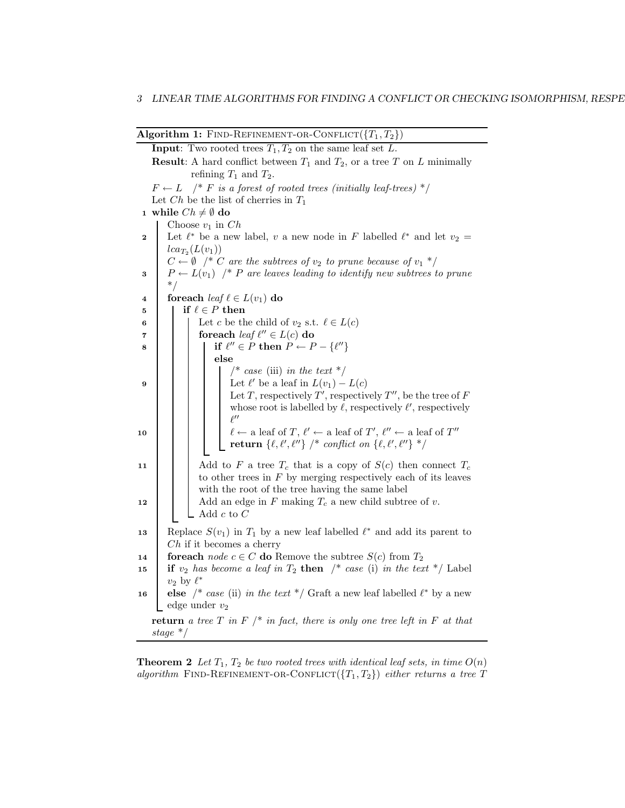| <b>Algorithm 1:</b> FIND-REFINEMENT-OR-CONFLICT( $\{T_1, T_2\}$ )   |
|---------------------------------------------------------------------|
| <b>Input:</b> Two rooted trees $T_a$ , $T_a$ on the same leaf set L |

**Input**: Two rooted trees  $T_1, T_2$  on the same leaf set **Result:** A hard conflict between  $T_1$  and  $T_2$ , or a tree T on L minimally refining  $T_1$  and  $T_2$ .  $F \leftarrow L$  /\* F is a forest of rooted trees (initially leaf-trees) \*/ Let  $Ch$  be the list of cherries in  $T_1$ 1 while  $Ch \neq \emptyset$  do Choose  $v_1$  in  $Ch$ 2 Let  $\ell^*$  be a new label, v a new node in F labelled  $\ell^*$  and let  $v_2 =$  $lca_{T_2}(L(v_1))$  $C \leftarrow \emptyset$  /\* C are the subtrees of  $v_2$  to prune because of  $v_1$  \*/  $3 \mid P \leftarrow L(v_1)$  /\* P are leaves leading to identify new subtrees to prune \*/ 4 foreach leaf  $\ell \in L(v_1)$  do 5 if  $\ell \in P$  then 6 **Let c** be the child of  $v_2$  s.t.  $\ell \in L(c)$ <br>**6 c f c f c f**  $\ell^n \in L(c)$  **do**  $\tau$  for each leaf  $\ell'' \in L(c)$  do 8 if  $\ell'' \in P$  then  $P \leftarrow P - \{\ell''\}$ else  $\sqrt{\alpha}$  case (iii) in the text  $\sqrt{\alpha}$ 9 Let  $\ell'$  be a leaf in  $L(v_1) - L(c)$ Let T, respectively  $T'$ , respectively  $T''$ , be the tree of F whose root is labelled by  $\ell$ , respectively  $\ell'$ , respectively  $\ell^{\prime\prime}$ 10  $\ell \leftarrow$  a leaf of  $T, \ell' \leftarrow$  a leaf of  $T', \ell'' \leftarrow$  a leaf of  $T''$ return  $\{\ell,\ell',\ell''\} \not\uparrow conflict$  on  $\{\ell,\ell',\ell''\} \not\uparrow$ 11  $\Box$  Add to F a tree  $T_c$  that is a copy of  $S(c)$  then connect  $T_c$ to other trees in  $F$  by merging respectively each of its leaves with the root of the tree having the same label 12  $\Box$  Add an edge in F making  $T_c$  a new child subtree of v.  $\Box$  Add  $c$  to  $C$ 13 Replace  $S(v_1)$  in  $T_1$  by a new leaf labelled  $\ell^*$  and add its parent to  $Ch$  if it becomes a cherry 14 **foreach** node  $c \in C$  **do** Remove the subtree  $S(c)$  from  $T_2$ <br>
15 **if**  $v_2$  has become a leaf in  $T_2$  **then**  $\frac{1}{2}$  case (i) in the tex if  $v_2$  has become a leaf in  $T_2$  then /\* case (i) in the text \*/ Label  $v_2$  by  $\ell^*$ 16 else /\* case (ii) in the text \*/ Graft a new leaf labelled  $\ell^*$  by a new edge under  $v_2$ return a tree T in F  $\mid^*$  in fact, there is only one tree left in F at that stage \*/

**Theorem 2** Let  $T_1$ ,  $T_2$  be two rooted trees with identical leaf sets, in time  $O(n)$ algorithm FIND-REFINEMENT-OR-CONFLICT( ${T_1, T_2}$ ) either returns a tree T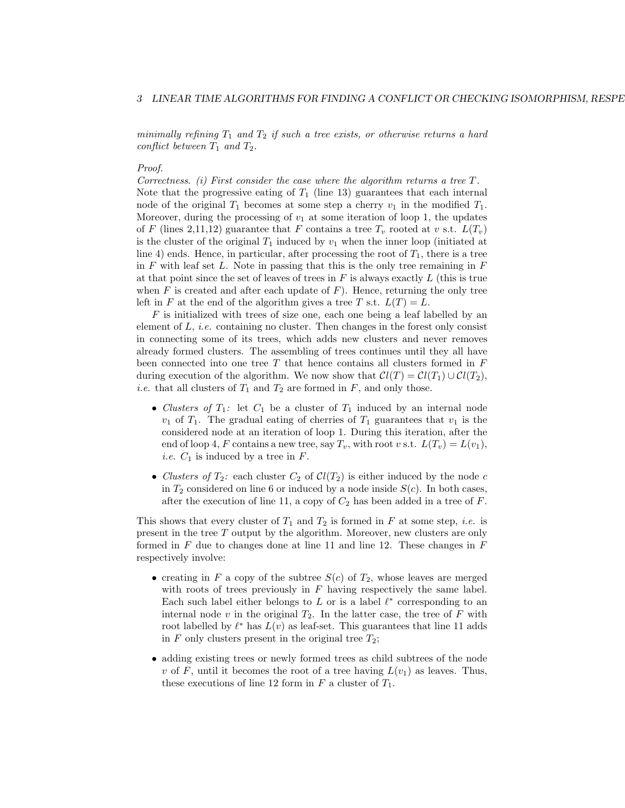minimally refining  $T_1$  and  $T_2$  if such a tree exists, or otherwise returns a hard conflict between  $T_1$  and  $T_2$ .

#### Proof.

Correctness. (i) First consider the case where the algorithm returns a tree  $T$ . Note that the progressive eating of  $T_1$  (line 13) guarantees that each internal node of the original  $T_1$  becomes at some step a cherry  $v_1$  in the modified  $T_1$ . Moreover, during the processing of  $v_1$  at some iteration of loop 1, the updates of F (lines 2,11,12) guarantee that F contains a tree  $T_v$  rooted at v s.t.  $L(T_v)$ is the cluster of the original  $T_1$  induced by  $v_1$  when the inner loop (initiated at line 4) ends. Hence, in particular, after processing the root of  $T_1$ , there is a tree in F with leaf set L. Note in passing that this is the only tree remaining in  $F$ at that point since the set of leaves of trees in  $F$  is always exactly  $L$  (this is true when  $F$  is created and after each update of  $F$ ). Hence, returning the only tree left in F at the end of the algorithm gives a tree T s.t.  $L(T) = L$ .

 $F$  is initialized with trees of size one, each one being a leaf labelled by an element of  $L$ , *i.e.* containing no cluster. Then changes in the forest only consist in connecting some of its trees, which adds new clusters and never removes already formed clusters. The assembling of trees continues until they all have been connected into one tree  $T$  that hence contains all clusters formed in  $F$ during execution of the algorithm. We now show that  $Cl(T) = Cl(T_1) \cup Cl(T_2)$ , *i.e.* that all clusters of  $T_1$  and  $T_2$  are formed in F, and only those.

- Clusters of  $T_1$ : let  $C_1$  be a cluster of  $T_1$  induced by an internal node  $v_1$  of  $T_1$ . The gradual eating of cherries of  $T_1$  guarantees that  $v_1$  is the considered node at an iteration of loop 1. During this iteration, after the end of loop 4, F contains a new tree, say  $T_v$ , with root v s.t.  $L(T_v) = L(v_1)$ , *i.e.*  $C_1$  is induced by a tree in  $F$ .
- Clusters of  $T_2$ : each cluster  $C_2$  of  $Cl(T_2)$  is either induced by the node c in  $T_2$  considered on line 6 or induced by a node inside  $S(c)$ . In both cases, after the execution of line 11, a copy of  $C_2$  has been added in a tree of F.

This shows that every cluster of  $T_1$  and  $T_2$  is formed in F at some step, *i.e.* is present in the tree T output by the algorithm. Moreover, new clusters are only formed in  $F$  due to changes done at line 11 and line 12. These changes in  $F$ respectively involve:

- creating in F a copy of the subtree  $S(c)$  of  $T_2$ , whose leaves are merged with roots of trees previously in  $F$  having respectively the same label. Each such label either belongs to  $L$  or is a label  $\ell^*$  corresponding to an internal node v in the original  $T_2$ . In the latter case, the tree of F with root labelled by  $\ell^*$  has  $L(v)$  as leaf-set. This guarantees that line 11 adds in  $F$  only clusters present in the original tree  $T_2$ ;
- adding existing trees or newly formed trees as child subtrees of the node v of F, until it becomes the root of a tree having  $L(v_1)$  as leaves. Thus, these executions of line 12 form in  $F$  a cluster of  $T_1$ .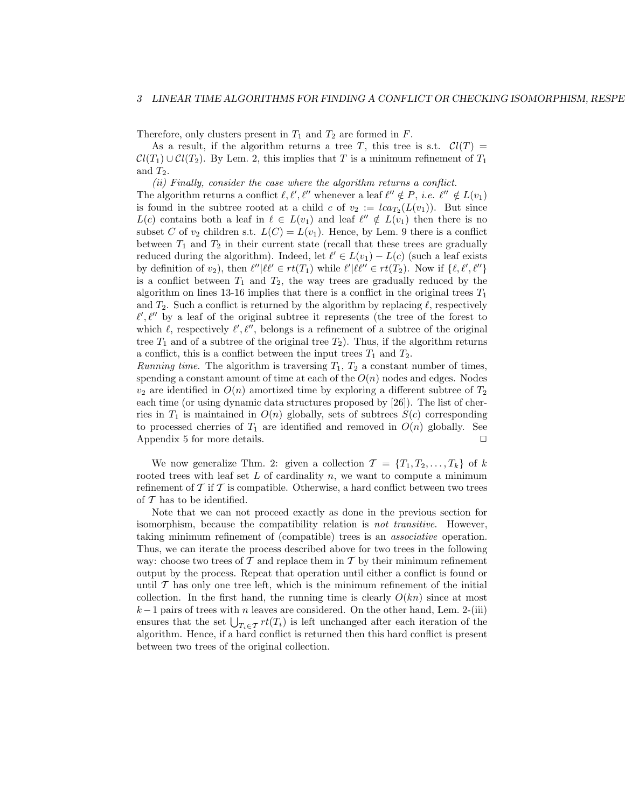Therefore, only clusters present in  $T_1$  and  $T_2$  are formed in  $F$ .

As a result, if the algorithm returns a tree T, this tree is s.t.  $Cl(T) =$  $Cl(T_1) \cup Cl(T_2)$ . By Lem. 2, this implies that T is a minimum refinement of  $T_1$ and  $T_2$ .

(ii) Finally, consider the case where the algorithm returns a conflict.

The algorithm returns a conflict  $\ell, \ell', \ell''$  whenever a leaf  $\ell'' \notin P$ , *i.e.*  $\ell'' \notin L(v_1)$ is found in the subtree rooted at a child c of  $v_2 := \text{lc} a_{T_2}(L(v_1))$ . But since  $L(c)$  contains both a leaf in  $\ell \in L(v_1)$  and leaf  $\ell'' \notin L(v_1)$  then there is no subset C of  $v_2$  children s.t.  $L(C) = L(v_1)$ . Hence, by Lem. 9 there is a conflict between  $T_1$  and  $T_2$  in their current state (recall that these trees are gradually reduced during the algorithm). Indeed, let  $\ell' \in L(v_1) - L(c)$  (such a leaf exists by definition of  $v_2$ ), then  $\ell''|\ell\ell' \in rt(T_1)$  while  $\ell'|\ell\ell'' \in rt(T_2)$ . Now if  $\{\ell, \ell', \ell''\}$ is a conflict between  $T_1$  and  $T_2$ , the way trees are gradually reduced by the algorithm on lines 13-16 implies that there is a conflict in the original trees  $T_1$ and  $T_2$ . Such a conflict is returned by the algorithm by replacing  $\ell$ , respectively  $\ell', \ell''$  by a leaf of the original subtree it represents (the tree of the forest to which  $\ell$ , respectively  $\ell', \ell'',$  belongs is a refinement of a subtree of the original tree  $T_1$  and of a subtree of the original tree  $T_2$ ). Thus, if the algorithm returns a conflict, this is a conflict between the input trees  $T_1$  and  $T_2$ .

*Running time.* The algorithm is traversing  $T_1$ ,  $T_2$  a constant number of times, spending a constant amount of time at each of the  $O(n)$  nodes and edges. Nodes  $v_2$  are identified in  $O(n)$  amortized time by exploring a different subtree of  $T_2$ each time (or using dynamic data structures proposed by [26]). The list of cherries in  $T_1$  is maintained in  $O(n)$  globally, sets of subtrees  $S(c)$  corresponding to processed cherries of  $T_1$  are identified and removed in  $O(n)$  globally. See Appendix 5 for more details.  $\Box$ 

We now generalize Thm. 2: given a collection  $\mathcal{T} = \{T_1, T_2, \ldots, T_k\}$  of k rooted trees with leaf set  $L$  of cardinality  $n$ , we want to compute a minimum refinement of  $\mathcal T$  if  $\mathcal T$  is compatible. Otherwise, a hard conflict between two trees of  $\mathcal T$  has to be identified.

Note that we can not proceed exactly as done in the previous section for isomorphism, because the compatibility relation is not transitive. However, taking minimum refinement of (compatible) trees is an associative operation. Thus, we can iterate the process described above for two trees in the following way: choose two trees of  $\mathcal T$  and replace them in  $\mathcal T$  by their minimum refinement output by the process. Repeat that operation until either a conflict is found or until  $\mathcal T$  has only one tree left, which is the minimum refinement of the initial collection. In the first hand, the running time is clearly  $O(kn)$  since at most  $k-1$  pairs of trees with n leaves are considered. On the other hand, Lem. 2-(iii) ensures that the set  $\bigcup_{T_i \in \mathcal{T}} rt(T_i)$  is left unchanged after each iteration of the algorithm. Hence, if a hard conflict is returned then this hard conflict is present between two trees of the original collection.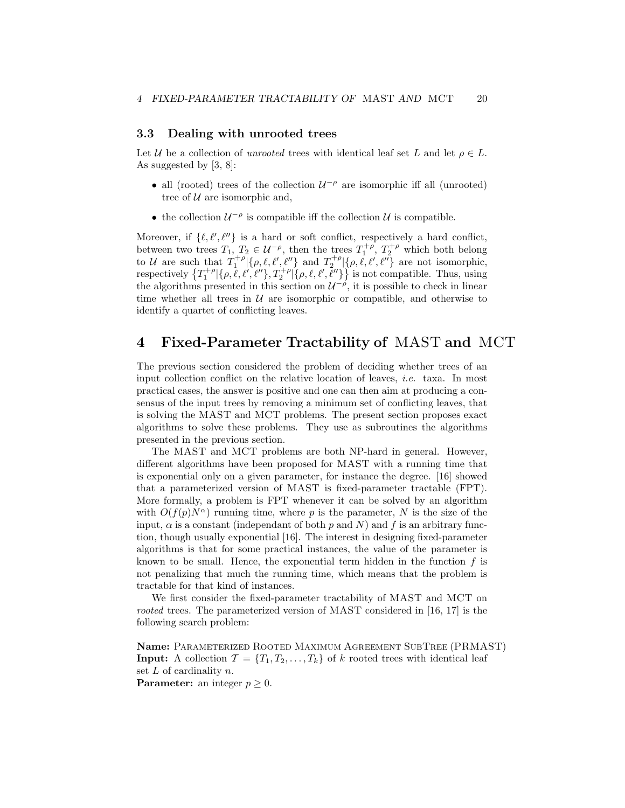# 3.3 Dealing with unrooted trees

Let U be a collection of unrooted trees with identical leaf set L and let  $\rho \in L$ . As suggested by [3, 8]:

- all (rooted) trees of the collection  $U^{-\rho}$  are isomorphic iff all (unrooted) tree of  $U$  are isomorphic and,
- $\bullet\,$  the collection  $\mathcal{U}^{-\rho}$  is compatible iff the collection  $\mathcal{U}$  is compatible.

Moreover, if  $\{\ell, \ell', \ell''\}$  is a hard or soft conflict, respectively a hard conflict, between two trees  $T_1, T_2 \in \mathcal{U}^{-\rho}$ , then the trees  $T_1^{+\rho}, T_2^{+\rho}$  which both belong to U are such that  $T_1^{+\rho}[\{\rho,\ell,\ell',\ell''\}]$  and  $T_2^{+\rho}[\{\rho,\ell,\ell',\ell''\}]$  are not isomorphic, respectively  $\{T_1^{+\rho}|\{\rho,\ell,\ell',\ell''\},T_2^{+\rho}|\{\rho,\ell,\ell',\ell''\}\}$  is not compatible. Thus, using the algorithms presented in this section on  $\mathcal{U}^{-\rho}$ , it is possible to check in linear time whether all trees in  $U$  are isomorphic or compatible, and otherwise to identify a quartet of conflicting leaves.

# 4 Fixed-Parameter Tractability of MAST and MCT

The previous section considered the problem of deciding whether trees of an input collection conflict on the relative location of leaves, i.e. taxa. In most practical cases, the answer is positive and one can then aim at producing a consensus of the input trees by removing a minimum set of conflicting leaves, that is solving the MAST and MCT problems. The present section proposes exact algorithms to solve these problems. They use as subroutines the algorithms presented in the previous section.

The MAST and MCT problems are both NP-hard in general. However, different algorithms have been proposed for MAST with a running time that is exponential only on a given parameter, for instance the degree. [16] showed that a parameterized version of MAST is fixed-parameter tractable (FPT). More formally, a problem is FPT whenever it can be solved by an algorithm with  $O(f(p)N^{\alpha})$  running time, where p is the parameter, N is the size of the input,  $\alpha$  is a constant (independant of both p and N) and f is an arbitrary function, though usually exponential [16]. The interest in designing fixed-parameter algorithms is that for some practical instances, the value of the parameter is known to be small. Hence, the exponential term hidden in the function  $f$  is not penalizing that much the running time, which means that the problem is tractable for that kind of instances.

We first consider the fixed-parameter tractability of MAST and MCT on rooted trees. The parameterized version of MAST considered in [16, 17] is the following search problem:

Name: Parameterized Rooted Maximum Agreement SubTree (PRMAST) **Input:** A collection  $\mathcal{T} = \{T_1, T_2, \ldots, T_k\}$  of k rooted trees with identical leaf set  $L$  of cardinality  $n$ . **Parameter:** an integer  $p \geq 0$ .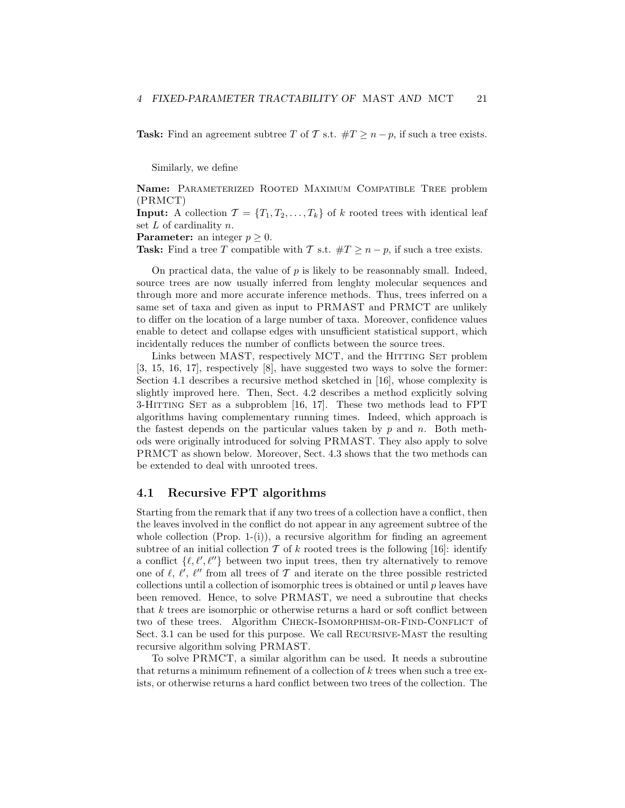**Task:** Find an agreement subtree T of T s.t.  $\#T \geq n - p$ , if such a tree exists.

Similarly, we define

Name: Parameterized Rooted Maximum Compatible Tree problem (PRMCT)

**Input:** A collection  $\mathcal{T} = \{T_1, T_2, \ldots, T_k\}$  of k rooted trees with identical leaf set  $L$  of cardinality  $n$ .

**Parameter:** an integer  $p \geq 0$ .

Task: Find a tree T compatible with T s.t.  $\#T \geq n - p$ , if such a tree exists.

On practical data, the value of  $p$  is likely to be reasonnably small. Indeed, source trees are now usually inferred from lenghty molecular sequences and through more and more accurate inference methods. Thus, trees inferred on a same set of taxa and given as input to PRMAST and PRMCT are unlikely to differ on the location of a large number of taxa. Moreover, confidence values enable to detect and collapse edges with unsufficient statistical support, which incidentally reduces the number of conflicts between the source trees.

Links between MAST, respectively MCT, and the HITTING SET problem [3, 15, 16, 17], respectively [8], have suggested two ways to solve the former: Section 4.1 describes a recursive method sketched in [16], whose complexity is slightly improved here. Then, Sect. 4.2 describes a method explicitly solving 3-HITTING SET as a subproblem [16, 17]. These two methods lead to FPT algorithms having complementary running times. Indeed, which approach is the fastest depends on the particular values taken by  $p$  and  $n$ . Both methods were originally introduced for solving PRMAST. They also apply to solve PRMCT as shown below. Moreover, Sect. 4.3 shows that the two methods can be extended to deal with unrooted trees.

# 4.1 Recursive FPT algorithms

Starting from the remark that if any two trees of a collection have a conflict, then the leaves involved in the conflict do not appear in any agreement subtree of the whole collection (Prop. 1-(i)), a recursive algorithm for finding an agreement subtree of an initial collection T of k rooted trees is the following [16]: identify a conflict  $\{\ell, \ell', \ell''\}$  between two input trees, then try alternatively to remove one of  $\ell$ ,  $\ell'$ ,  $\ell''$  from all trees of  $\mathcal T$  and iterate on the three possible restricted collections until a collection of isomorphic trees is obtained or until  $p$  leaves have been removed. Hence, to solve PRMAST, we need a subroutine that checks that k trees are isomorphic or otherwise returns a hard or soft conflict between two of these trees. Algorithm CHECK-ISOMORPHISM-OR-FIND-CONFLICT of Sect. 3.1 can be used for this purpose. We call RECURSIVE-MAST the resulting recursive algorithm solving PRMAST.

To solve PRMCT, a similar algorithm can be used. It needs a subroutine that returns a minimum refinement of a collection of k trees when such a tree exists, or otherwise returns a hard conflict between two trees of the collection. The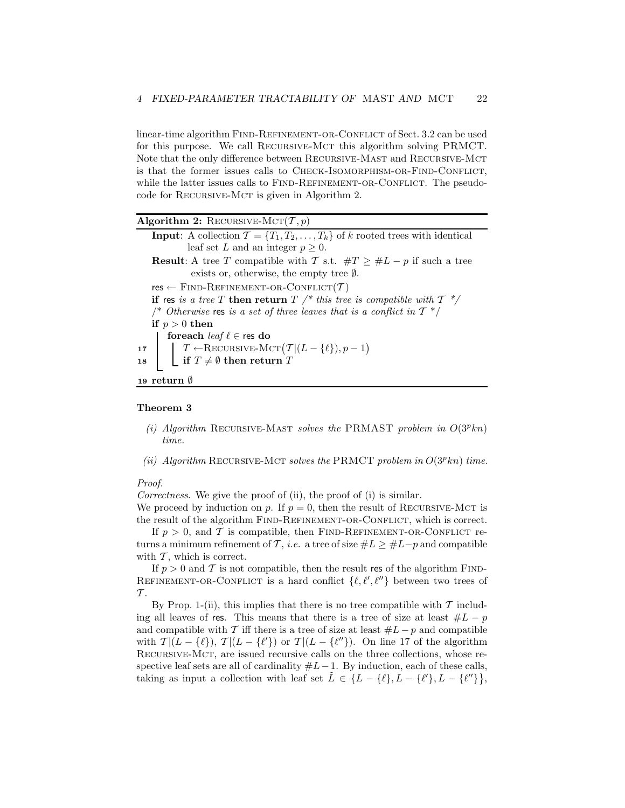linear-time algorithm FIND-REFINEMENT-OR-CONFLICT of Sect. 3.2 can be used for this purpose. We call RECURSIVE-MCT this algorithm solving PRMCT. Note that the only difference between Recursive-Mast and Recursive-Mct is that the former issues calls to CHECK-ISOMORPHISM-OR-FIND-CONFLICT, while the latter issues calls to FIND-REFINEMENT-OR-CONFLICT. The pseudocode for Recursive-Mct is given in Algorithm 2.

| Algorithm 2: RECURSIVE-MCT $(T, p)$                                                                                                                               |
|-------------------------------------------------------------------------------------------------------------------------------------------------------------------|
| <b>Input:</b> A collection $\mathcal{T} = \{T_1, T_2, \ldots, T_k\}$ of k rooted trees with identical                                                             |
| leaf set L and an integer $p \geq 0$ .                                                                                                                            |
| <b>Result:</b> A tree T compatible with T s.t. $\#T \geq \#L - p$ if such a tree                                                                                  |
| exists or, otherwise, the empty tree $\emptyset$ .                                                                                                                |
| $res \leftarrow$ FIND-REFINEMENT-OR-CONFLICT $(\mathcal{T})$                                                                                                      |
| if res is a tree T then return T /* this tree is compatible with $T \frac{*}{'}$                                                                                  |
| /* Otherwise res is a set of three leaves that is a conflict in $T^*$ /                                                                                           |
| if $p > 0$ then                                                                                                                                                   |
| foreach <i>leaf</i> $\ell \in$ res do                                                                                                                             |
|                                                                                                                                                                   |
| 17 $\Bigg  \begin{array}{c} T \leftarrow \text{RECURSIVE-MCT}\big(T   (L - {\ell}), p - 1\big) \\ \text{if } T \neq \emptyset \text{ then return } T \end{array}$ |
|                                                                                                                                                                   |
| 19 return $\emptyset$                                                                                                                                             |

#### Theorem 3

- (i) Algorithm RECURSIVE-MAST solves the PRMAST problem in  $O(3^p kn)$ time.
- (ii) Algorithm RECURSIVE-MCT solves the PRMCT problem in  $O(3^p k n)$  time.

# Proof.

Correctness. We give the proof of (ii), the proof of (i) is similar.

We proceed by induction on p. If  $p = 0$ , then the result of RECURSIVE-MCT is the result of the algorithm FIND-REFINEMENT-OR-CONFLICT, which is correct.

If  $p > 0$ , and T is compatible, then FIND-REFINEMENT-OR-CONFLICT returns a minimum refinement of T, *i.e.* a tree of size  $#L \geq #L-p$  and compatible with  $\mathcal T$ , which is correct.

If  $p > 0$  and T is not compatible, then the result res of the algorithm FIND-REFINEMENT-OR-CONFLICT is a hard conflict  $\{\ell, \ell', \ell''\}$  between two trees of  $\tau$ .

By Prop. 1-(ii), this implies that there is no tree compatible with  $\mathcal T$  including all leaves of res. This means that there is a tree of size at least  $#L - p$ and compatible with T iff there is a tree of size at least  $#L - p$  and compatible with  $\mathcal{T}|(L - \{\ell\}), \mathcal{T}|(L - \{\ell'\})$  or  $\mathcal{T}|(L - \{\ell''\})$ . On line 17 of the algorithm Recursive-Mct, are issued recursive calls on the three collections, whose respective leaf sets are all of cardinality  $#L-1$ . By induction, each of these calls, taking as input a collection with leaf set  $\tilde{L} \in \{L - \{\ell\}, L - \{\ell'\}, L - \{\ell''\}\},\$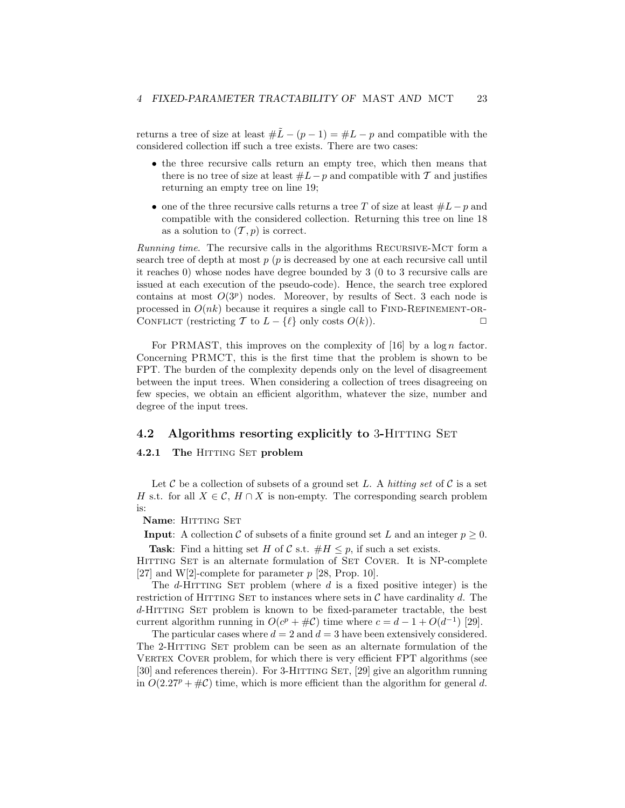returns a tree of size at least  $#L - (p - 1) = #L - p$  and compatible with the considered collection iff such a tree exists. There are two cases:

- the three recursive calls return an empty tree, which then means that there is no tree of size at least  $#L-p$  and compatible with T and justifies returning an empty tree on line 19;
- one of the three recursive calls returns a tree T of size at least  $#L-p$  and compatible with the considered collection. Returning this tree on line 18 as a solution to  $(\mathcal{T}, p)$  is correct.

Running time. The recursive calls in the algorithms RECURSIVE-MCT form a search tree of depth at most  $p$  ( $p$  is decreased by one at each recursive call until it reaches 0) whose nodes have degree bounded by 3 (0 to 3 recursive calls are issued at each execution of the pseudo-code). Hence, the search tree explored contains at most  $O(3^p)$  nodes. Moreover, by results of Sect. 3 each node is processed in  $O(nk)$  because it requires a single call to FIND-REFINEMENT-OR-CONFLICT (restricting T to  $L - \{\ell\}$  only costs  $O(k)$ ).

For PRMAST, this improves on the complexity of  $[16]$  by a log n factor. Concerning PRMCT, this is the first time that the problem is shown to be FPT. The burden of the complexity depends only on the level of disagreement between the input trees. When considering a collection of trees disagreeing on few species, we obtain an efficient algorithm, whatever the size, number and degree of the input trees.

## 4.2 Algorithms resorting explicitly to 3-HITTING SET

## 4.2.1 The HITTING SET problem

Let C be a collection of subsets of a ground set L. A hitting set of C is a set H s.t. for all  $X \in \mathcal{C}$ ,  $H \cap X$  is non-empty. The corresponding search problem is:

### Name: HITTING SET

**Input:** A collection C of subsets of a finite ground set L and an integer  $p \geq 0$ .

Task: Find a hitting set H of C s.t.  $#H \leq p$ , if such a set exists.

HITTING SET is an alternate formulation of SET COVER. It is NP-complete [27] and W[2]-complete for parameter  $p$  [28, Prop. 10].

The  $d$ -HITTING SET problem (where  $d$  is a fixed positive integer) is the restriction of HITTING SET to instances where sets in  $\mathcal C$  have cardinality d. The d-HITTING SET problem is known to be fixed-parameter tractable, the best current algorithm running in  $O(c^p + \# \mathcal{C})$  time where  $c = d - 1 + O(d^{-1})$  [29].

The particular cases where  $d = 2$  and  $d = 3$  have been extensively considered. The 2-HITTING SET problem can be seen as an alternate formulation of the VERTEX COVER problem, for which there is very efficient FPT algorithms (see [30] and references therein). For 3-HITTING SET, [29] give an algorithm running in  $O(2.27^p + \text{\#C})$  time, which is more efficient than the algorithm for general d.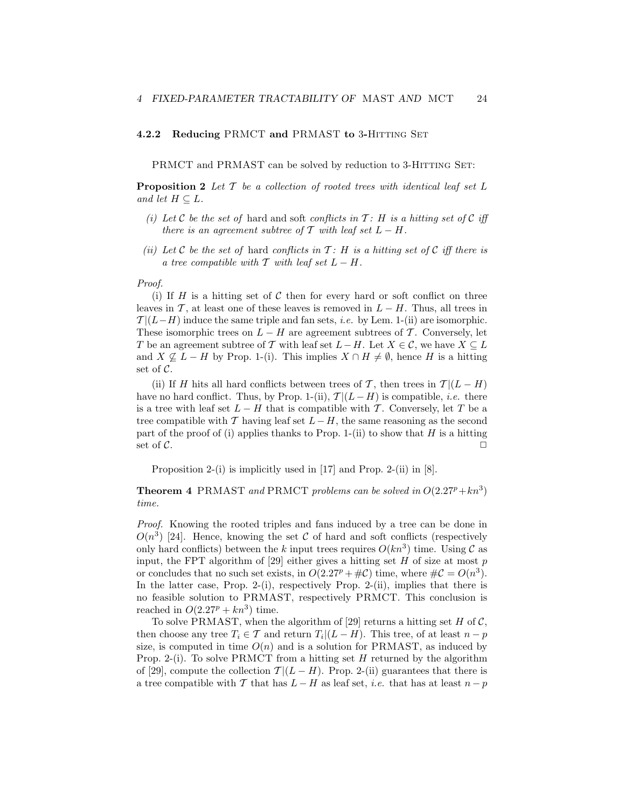#### 4.2.2 Reducing PRMCT and PRMAST to 3-HITTING SET

PRMCT and PRMAST can be solved by reduction to 3-HITTING SET:

**Proposition 2** Let  $\mathcal{T}$  be a collection of rooted trees with identical leaf set  $L$ and let  $H \subset L$ .

- (i) Let C be the set of hard and soft conflicts in  $T$ : H is a hitting set of C iff there is an agreement subtree of T with leaf set  $L - H$ .
- (ii) Let C be the set of hard conflicts in  $\mathcal{T}$ : H is a hitting set of C iff there is a tree compatible with  $\mathcal T$  with leaf set  $L - H$ .

#### Proof.

(i) If  $H$  is a hitting set of  $C$  then for every hard or soft conflict on three leaves in T, at least one of these leaves is removed in  $L - H$ . Thus, all trees in  $\mathcal{T} |(L-H)$  induce the same triple and fan sets, *i.e.* by Lem. 1-(ii) are isomorphic. These isomorphic trees on  $L - H$  are agreement subtrees of T. Conversely, let T be an agreement subtree of T with leaf set  $L-H$ . Let  $X \in \mathcal{C}$ , we have  $X \subseteq L$ and  $X \nsubseteq L - H$  by Prop. 1-(i). This implies  $X \cap H \neq \emptyset$ , hence H is a hitting set of C.

(ii) If H hits all hard conflicts between trees of T, then trees in  $\mathcal{T} |(L - H)$ have no hard conflict. Thus, by Prop. 1-(ii),  $\mathcal{T} |(L-H)$  is compatible, *i.e.* there is a tree with leaf set  $L - H$  that is compatible with T. Conversely, let T be a tree compatible with T having leaf set  $L-H$ , the same reasoning as the second part of the proof of (i) applies thanks to Prop. 1-(ii) to show that  $H$  is a hitting set of  $\mathcal{C}$ .

Proposition 2-(i) is implicitly used in [17] and Prop. 2-(ii) in [8].

**Theorem 4** PRMAST and PRMCT problems can be solved in  $O(2.27^p + kn^3)$ time.

Proof. Knowing the rooted triples and fans induced by a tree can be done in  $O(n^3)$  [24]. Hence, knowing the set C of hard and soft conflicts (respectively only hard conflicts) between the k input trees requires  $O(kn^3)$  time. Using C as input, the FPT algorithm of [29] either gives a hitting set  $H$  of size at most  $p$ or concludes that no such set exists, in  $O(2.27^p + \text{\#C})$  time, where  $\text{\#C} = O(n^3)$ . In the latter case, Prop. 2-(i), respectively Prop. 2-(ii), implies that there is no feasible solution to PRMAST, respectively PRMCT. This conclusion is reached in  $O(2.27^p + kn^3)$  time.

To solve PRMAST, when the algorithm of [29] returns a hitting set  $H$  of  $C$ , then choose any tree  $T_i \in \mathcal{T}$  and return  $T_i | (L - H)$ . This tree, of at least  $n - p$ size, is computed in time  $O(n)$  and is a solution for PRMAST, as induced by Prop. 2-(i). To solve PRMCT from a hitting set H returned by the algorithm of [29], compute the collection  $\mathcal{T} |(L - H)$ . Prop. 2-(ii) guarantees that there is a tree compatible with T that has  $L - H$  as leaf set, *i.e.* that has at least  $n - p$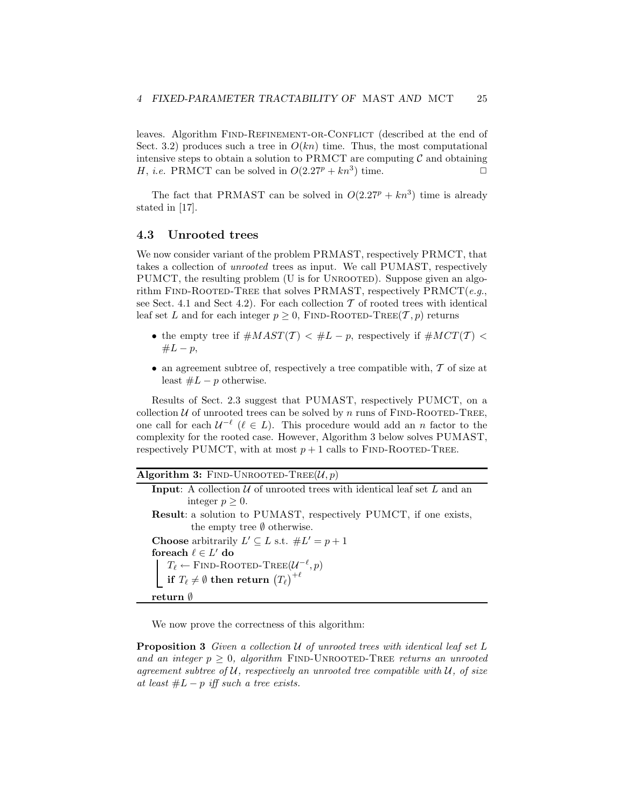leaves. Algorithm FIND-REFINEMENT-OR-CONFLICT (described at the end of Sect. 3.2) produces such a tree in  $O(kn)$  time. Thus, the most computational intensive steps to obtain a solution to PRMCT are computing  $C$  and obtaining  $H$ , *i.e.* PRMCT can be solved in  $O(2.27^p + kn^3)$  time. H, *i.e.* PRMCT can be solved in  $O(2.27^p + kn^3)$  time.

The fact that PRMAST can be solved in  $O(2.27^p + kn^3)$  time is already stated in [17].

## 4.3 Unrooted trees

We now consider variant of the problem PRMAST, respectively PRMCT, that takes a collection of unrooted trees as input. We call PUMAST, respectively PUMCT, the resulting problem (U is for UNROOTED). Suppose given an algorithm FIND-ROOTED-TREE that solves PRMAST, respectively  $\text{PRMCT}(e.g.,$ see Sect. 4.1 and Sect 4.2). For each collection  $\mathcal T$  of rooted trees with identical leaf set L and for each integer  $p \geq 0$ , FIND-ROOTED-TREE $(T, p)$  returns

- the empty tree if  $\#MAST(\mathcal{T}) < \#L p$ , respectively if  $\#MCT(\mathcal{T}) <$  $#L − p,$
- an agreement subtree of, respectively a tree compatible with,  $\mathcal T$  of size at least  $#L - p$  otherwise.

Results of Sect. 2.3 suggest that PUMAST, respectively PUMCT, on a collection  $U$  of unrooted trees can be solved by n runs of FIND-ROOTED-TREE, one call for each  $U^{-\ell}$  ( $\ell \in L$ ). This procedure would add an n factor to the complexity for the rooted case. However, Algorithm 3 below solves PUMAST, respectively PUMCT, with at most  $p + 1$  calls to FIND-ROOTED-TREE.

Algorithm 3: FIND-UNROOTED-TREE( $\mathcal{U}, p$ ) **Input:** A collection  $U$  of unrooted trees with identical leaf set  $L$  and an integer  $p \geq 0$ . Result: a solution to PUMAST, respectively PUMCT, if one exists, the empty tree ∅ otherwise. **Choose** arbitrarily  $L' \subseteq L$  s.t.  $\#L' = p + 1$ foreach  $\ell \in L'$  do  $T_{\ell} \leftarrow$  FIND-ROOTED-TREE $(\mathcal{U}^{-\ell}, p)$  $\textbf{if} \; T_{\ell} \neq \emptyset \; \textbf{then} \; \textbf{return} \; \big(T_{\ell}\big)^{+\ell}$ return ∅

We now prove the correctness of this algorithm:

**Proposition 3** Given a collection  $U$  of unrooted trees with identical leaf set  $L$ and an integer  $p > 0$ , algorithm FIND-UNROOTED-TREE returns an unrooted agreement subtree of  $U$ , respectively an unrooted tree compatible with  $U$ , of size at least  $#L - p$  iff such a tree exists.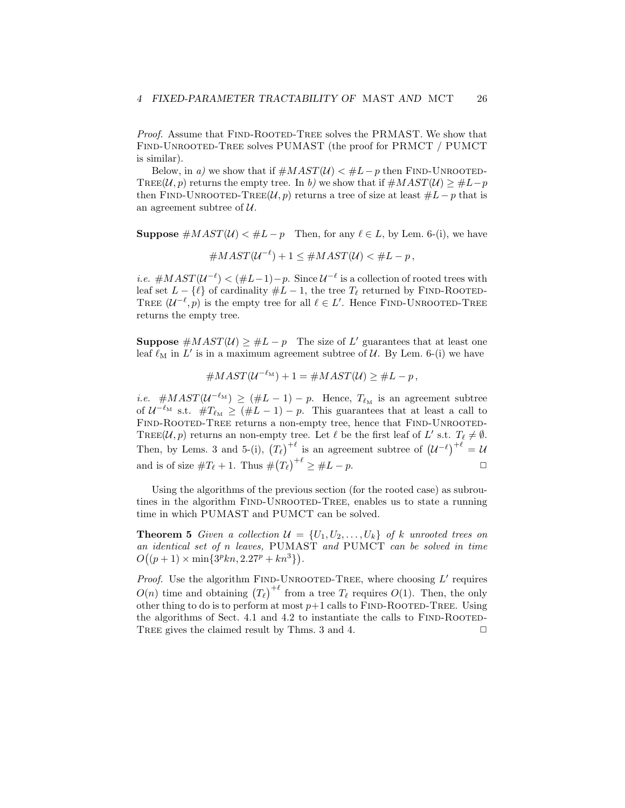Proof. Assume that FIND-ROOTED-TREE solves the PRMAST. We show that Find-Unrooted-Tree solves PUMAST (the proof for PRMCT / PUMCT is similar).

Below, in a) we show that if  $\#MAST(\mathcal{U}) < \#L-p$  then FIND-UNROOTED-TREE(U, p) returns the empty tree. In b) we show that if  $\#MAST(\mathcal{U}) \geq \#L-p$ then FIND-UNROOTED-TREE( $\mathcal{U}, p$ ) returns a tree of size at least  $\#L - p$  that is an agreement subtree of  $U$ .

**Suppose**  $\#MAST(\mathcal{U}) < \#L-p$  Then, for any  $\ell \in L$ , by Lem. 6-(i), we have

 $\#MAST(U^{-\ell})+1 \leq \#MAST(U) < \#L-p,$ 

*i.e.*  $\#MAST(U^{-\ell}) < (\#L-1)-p$ . Since  $U^{-\ell}$  is a collection of rooted trees with leaf set  $L - \{\ell\}$  of cardinality  $\#L - 1$ , the tree  $T_{\ell}$  returned by FIND-ROOTED-TREE  $(U^{-\ell}, p)$  is the empty tree for all  $\ell \in L'$ . Hence FIND-UNROOTED-TREE returns the empty tree.

**Suppose**  $\#MAST(\mathcal{U}) \geq \#L - p$  The size of L' guarantees that at least one leaf  $\ell_M$  in L' is in a maximum agreement subtree of  $\mathcal U$ . By Lem. 6-(i) we have

$$
#MAST(\mathcal{U}^{-\ell_M})+1=\#MAST(\mathcal{U})\geq \#L-p,
$$

*i.e.* # $MAST(U^{-\ell_M}) \geq (#L-1) - p$ . Hence,  $T_{\ell_M}$  is an agreement subtree of  $U^{-\ell_M}$  s.t.  $\#T_{\ell_M} \geq (\#L-1)-p$ . This guarantees that at least a call to FIND-ROOTED-TREE returns a non-empty tree, hence that FIND-UNROOTED-TREE(U, p) returns an non-empty tree. Let  $\ell$  be the first leaf of L' s.t.  $T_{\ell} \neq \emptyset$ . Then, by Lems. 3 and 5-(i),  $(T_{\ell})^{+\ell}$  is an agreement subtree of  $(U^{-\ell})^{+\ell} = U$ and is of size  $\#T_{\ell} + 1$ . Thus  $\#(T_{\ell})^{+\ell} \geq \#L - p$ .

Using the algorithms of the previous section (for the rooted case) as subroutines in the algorithm FIND-UNROOTED-TREE, enables us to state a running time in which PUMAST and PUMCT can be solved.

**Theorem 5** Given a collection  $\mathcal{U} = \{U_1, U_2, \ldots, U_k\}$  of k unrooted trees on an identical set of n leaves, PUMAST and PUMCT can be solved in time  $O((p+1) \times min\{3^p k n, 2.27^p + k n^3\}).$ 

*Proof.* Use the algorithm FIND-UNROOTED-TREE, where choosing  $L'$  requires  $O(n)$  time and obtaining  $(T_{\ell})^{+\ell}$  from a tree  $T_{\ell}$  requires  $O(1)$ . Then, the only other thing to do is to perform at most  $p+1$  calls to FIND-ROOTED-TREE. Using the algorithms of Sect. 4.1 and 4.2 to instantiate the calls to  $FIND-ROOTED-$ TREE gives the claimed result by Thms. 3 and 4.  $\Box$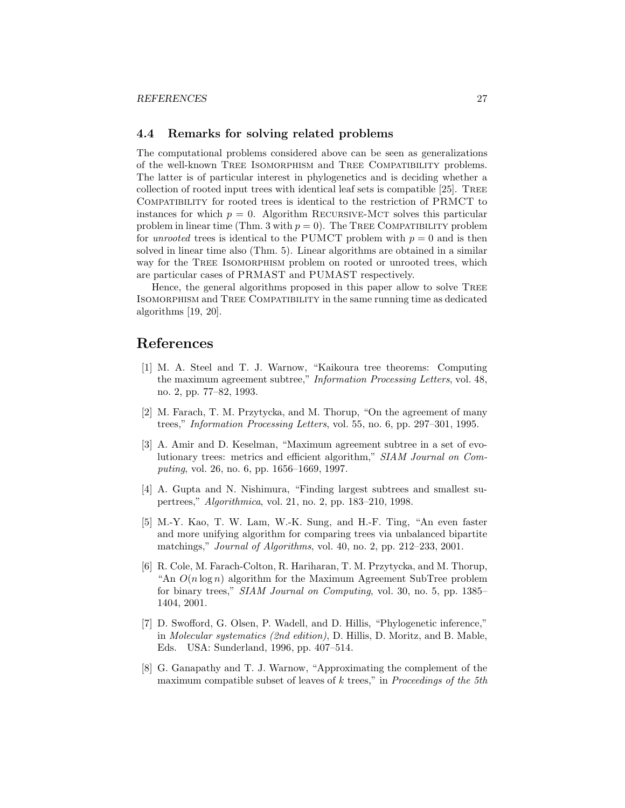# 4.4 Remarks for solving related problems

The computational problems considered above can be seen as generalizations of the well-known Tree Isomorphism and Tree Compatibility problems. The latter is of particular interest in phylogenetics and is deciding whether a collection of rooted input trees with identical leaf sets is compatible [25]. Tree Compatibility for rooted trees is identical to the restriction of PRMCT to instances for which  $p = 0$ . Algorithm RECURSIVE-MCT solves this particular problem in linear time (Thm. 3 with  $p = 0$ ). The TREE COMPATIBILITY problem for *unrooted* trees is identical to the PUMCT problem with  $p = 0$  and is then solved in linear time also (Thm. 5). Linear algorithms are obtained in a similar way for the TREE ISOMORPHISM problem on rooted or unrooted trees, which are particular cases of PRMAST and PUMAST respectively.

Hence, the general algorithms proposed in this paper allow to solve Tree Isomorphism and Tree Compatibility in the same running time as dedicated algorithms [19, 20].

# References

- [1] M. A. Steel and T. J. Warnow, "Kaikoura tree theorems: Computing the maximum agreement subtree," Information Processing Letters, vol. 48, no. 2, pp. 77–82, 1993.
- [2] M. Farach, T. M. Przytycka, and M. Thorup, "On the agreement of many trees," Information Processing Letters, vol. 55, no. 6, pp. 297–301, 1995.
- [3] A. Amir and D. Keselman, "Maximum agreement subtree in a set of evolutionary trees: metrics and efficient algorithm," SIAM Journal on Computing, vol. 26, no. 6, pp. 1656–1669, 1997.
- [4] A. Gupta and N. Nishimura, "Finding largest subtrees and smallest supertrees," Algorithmica, vol. 21, no. 2, pp. 183–210, 1998.
- [5] M.-Y. Kao, T. W. Lam, W.-K. Sung, and H.-F. Ting, "An even faster and more unifying algorithm for comparing trees via unbalanced bipartite matchings," Journal of Algorithms, vol. 40, no. 2, pp. 212–233, 2001.
- [6] R. Cole, M. Farach-Colton, R. Hariharan, T. M. Przytycka, and M. Thorup, "An  $O(n \log n)$  algorithm for the Maximum Agreement SubTree problem for binary trees," SIAM Journal on Computing, vol. 30, no. 5, pp. 1385– 1404, 2001.
- [7] D. Swofford, G. Olsen, P. Wadell, and D. Hillis, "Phylogenetic inference," in Molecular systematics (2nd edition), D. Hillis, D. Moritz, and B. Mable, Eds. USA: Sunderland, 1996, pp. 407–514.
- [8] G. Ganapathy and T. J. Warnow, "Approximating the complement of the maximum compatible subset of leaves of k trees," in Proceedings of the 5th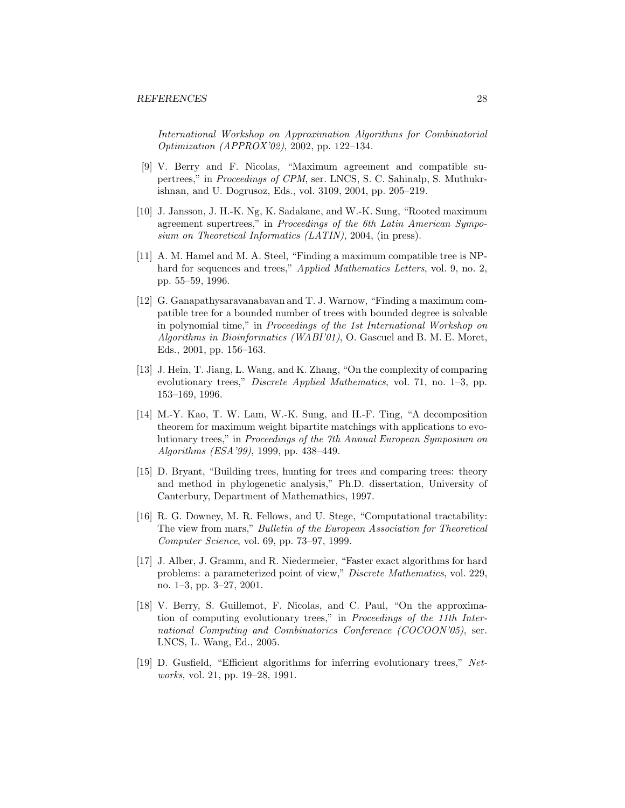International Workshop on Approximation Algorithms for Combinatorial Optimization (APPROX'02), 2002, pp. 122–134.

- [9] V. Berry and F. Nicolas, "Maximum agreement and compatible supertrees," in Proceedings of CPM, ser. LNCS, S. C. Sahinalp, S. Muthukrishnan, and U. Dogrusoz, Eds., vol. 3109, 2004, pp. 205–219.
- [10] J. Jansson, J. H.-K. Ng, K. Sadakane, and W.-K. Sung, "Rooted maximum agreement supertrees," in Proceedings of the 6th Latin American Symposium on Theoretical Informatics (LATIN), 2004, (in press).
- [11] A. M. Hamel and M. A. Steel, "Finding a maximum compatible tree is NPhard for sequences and trees," Applied Mathematics Letters, vol. 9, no. 2, pp. 55–59, 1996.
- [12] G. Ganapathysaravanabavan and T. J. Warnow, "Finding a maximum compatible tree for a bounded number of trees with bounded degree is solvable in polynomial time," in Proceedings of the 1st International Workshop on Algorithms in Bioinformatics (WABI'01), O. Gascuel and B. M. E. Moret, Eds., 2001, pp. 156–163.
- [13] J. Hein, T. Jiang, L. Wang, and K. Zhang, "On the complexity of comparing evolutionary trees," Discrete Applied Mathematics, vol. 71, no. 1–3, pp. 153–169, 1996.
- [14] M.-Y. Kao, T. W. Lam, W.-K. Sung, and H.-F. Ting, "A decomposition theorem for maximum weight bipartite matchings with applications to evolutionary trees," in Proceedings of the 7th Annual European Symposium on Algorithms (ESA'99), 1999, pp. 438–449.
- [15] D. Bryant, "Building trees, hunting for trees and comparing trees: theory and method in phylogenetic analysis," Ph.D. dissertation, University of Canterbury, Department of Mathemathics, 1997.
- [16] R. G. Downey, M. R. Fellows, and U. Stege, "Computational tractability: The view from mars," Bulletin of the European Association for Theoretical Computer Science, vol. 69, pp. 73–97, 1999.
- [17] J. Alber, J. Gramm, and R. Niedermeier, "Faster exact algorithms for hard problems: a parameterized point of view," Discrete Mathematics, vol. 229, no. 1–3, pp. 3–27, 2001.
- [18] V. Berry, S. Guillemot, F. Nicolas, and C. Paul, "On the approximation of computing evolutionary trees," in Proceedings of the 11th International Computing and Combinatorics Conference (COCOON'05), ser. LNCS, L. Wang, Ed., 2005.
- [19] D. Gusfield, "Efficient algorithms for inferring evolutionary trees," Networks, vol. 21, pp. 19–28, 1991.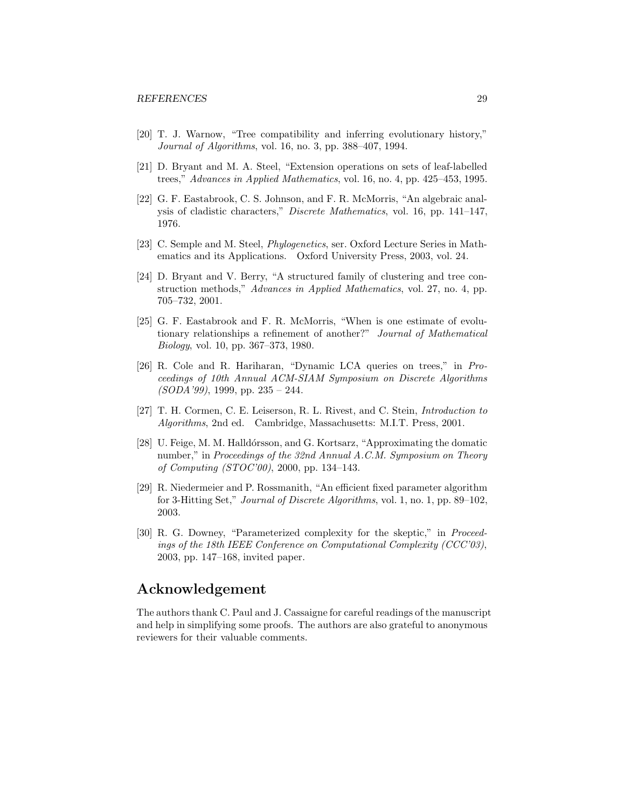- [20] T. J. Warnow, "Tree compatibility and inferring evolutionary history," Journal of Algorithms, vol. 16, no. 3, pp. 388–407, 1994.
- [21] D. Bryant and M. A. Steel, "Extension operations on sets of leaf-labelled trees," Advances in Applied Mathematics, vol. 16, no. 4, pp. 425–453, 1995.
- [22] G. F. Eastabrook, C. S. Johnson, and F. R. McMorris, "An algebraic analysis of cladistic characters," Discrete Mathematics, vol. 16, pp. 141–147, 1976.
- [23] C. Semple and M. Steel, *Phylogenetics*, ser. Oxford Lecture Series in Mathematics and its Applications. Oxford University Press, 2003, vol. 24.
- [24] D. Bryant and V. Berry, "A structured family of clustering and tree construction methods," Advances in Applied Mathematics, vol. 27, no. 4, pp. 705–732, 2001.
- [25] G. F. Eastabrook and F. R. McMorris, "When is one estimate of evolutionary relationships a refinement of another?" Journal of Mathematical Biology, vol. 10, pp. 367–373, 1980.
- [26] R. Cole and R. Hariharan, "Dynamic LCA queries on trees," in Proceedings of 10th Annual ACM-SIAM Symposium on Discrete Algorithms  $(SODA'99)$ , 1999, pp. 235 – 244.
- [27] T. H. Cormen, C. E. Leiserson, R. L. Rivest, and C. Stein, Introduction to Algorithms, 2nd ed. Cambridge, Massachusetts: M.I.T. Press, 2001.
- [28] U. Feige, M. M. Halldórsson, and G. Kortsarz, "Approximating the domatic number," in Proceedings of the 32nd Annual A.C.M. Symposium on Theory of Computing (STOC'00), 2000, pp. 134–143.
- [29] R. Niedermeier and P. Rossmanith, "An efficient fixed parameter algorithm for 3-Hitting Set," Journal of Discrete Algorithms, vol. 1, no. 1, pp. 89–102, 2003.
- [30] R. G. Downey, "Parameterized complexity for the skeptic," in Proceedings of the 18th IEEE Conference on Computational Complexity (CCC'03), 2003, pp. 147–168, invited paper.

# Acknowledgement

The authors thank C. Paul and J. Cassaigne for careful readings of the manuscript and help in simplifying some proofs. The authors are also grateful to anonymous reviewers for their valuable comments.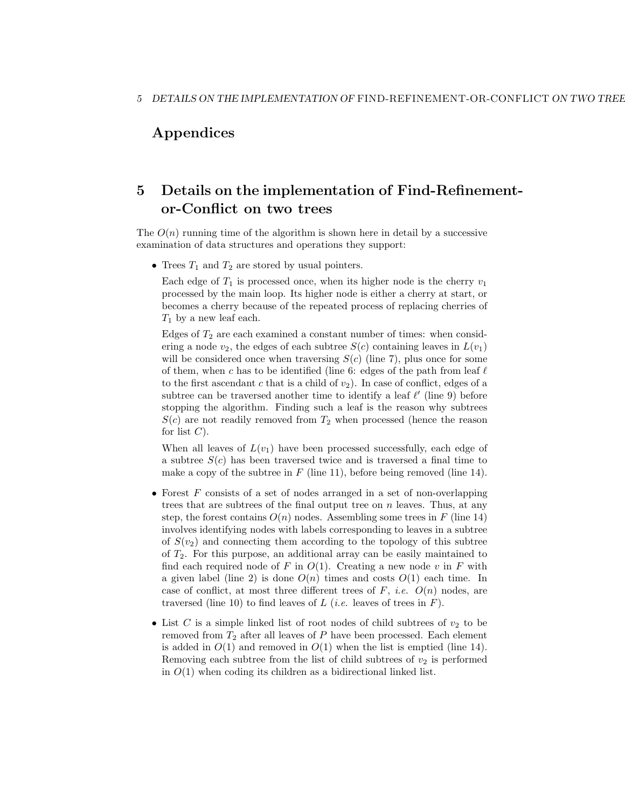# Appendices

# 5 Details on the implementation of Find-Refinementor-Conflict on two trees

The  $O(n)$  running time of the algorithm is shown here in detail by a successive examination of data structures and operations they support:

• Trees  $T_1$  and  $T_2$  are stored by usual pointers.

Each edge of  $T_1$  is processed once, when its higher node is the cherry  $v_1$ processed by the main loop. Its higher node is either a cherry at start, or becomes a cherry because of the repeated process of replacing cherries of  $T_1$  by a new leaf each.

Edges of  $T_2$  are each examined a constant number of times: when considering a node  $v_2$ , the edges of each subtree  $S(c)$  containing leaves in  $L(v_1)$ will be considered once when traversing  $S(c)$  (line 7), plus once for some of them, when c has to be identified (line 6: edges of the path from leaf  $\ell$ to the first ascendant c that is a child of  $v_2$ ). In case of conflict, edges of a subtree can be traversed another time to identify a leaf  $\ell'$  (line 9) before stopping the algorithm. Finding such a leaf is the reason why subtrees  $S(c)$  are not readily removed from  $T_2$  when processed (hence the reason for list  $C$ ).

When all leaves of  $L(v_1)$  have been processed successfully, each edge of a subtree  $S(c)$  has been traversed twice and is traversed a final time to make a copy of the subtree in  $F$  (line 11), before being removed (line 14).

- Forest  $F$  consists of a set of nodes arranged in a set of non-overlapping trees that are subtrees of the final output tree on  $n$  leaves. Thus, at any step, the forest contains  $O(n)$  nodes. Assembling some trees in F (line 14) involves identifying nodes with labels corresponding to leaves in a subtree of  $S(v_2)$  and connecting them according to the topology of this subtree of  $T_2$ . For this purpose, an additional array can be easily maintained to find each required node of F in  $O(1)$ . Creating a new node v in F with a given label (line 2) is done  $O(n)$  times and costs  $O(1)$  each time. In case of conflict, at most three different trees of  $F$ , *i.e.*  $O(n)$  nodes, are traversed (line 10) to find leaves of L (*i.e.* leaves of trees in F).
- List  $C$  is a simple linked list of root nodes of child subtrees of  $v_2$  to be removed from  $T_2$  after all leaves of P have been processed. Each element is added in  $O(1)$  and removed in  $O(1)$  when the list is emptied (line 14). Removing each subtree from the list of child subtrees of  $v_2$  is performed in  $O(1)$  when coding its children as a bidirectional linked list.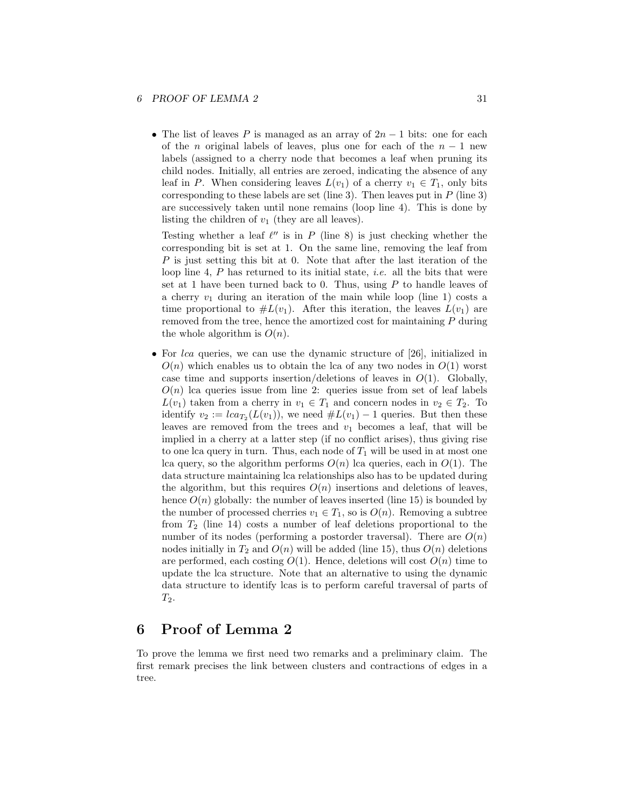## 6 PROOF OF LEMMA 2 31

• The list of leaves P is managed as an array of  $2n-1$  bits: one for each of the *n* original labels of leaves, plus one for each of the  $n - 1$  new labels (assigned to a cherry node that becomes a leaf when pruning its child nodes. Initially, all entries are zeroed, indicating the absence of any leaf in P. When considering leaves  $L(v_1)$  of a cherry  $v_1 \in T_1$ , only bits corresponding to these labels are set (line 3). Then leaves put in  $P$  (line 3) are successively taken until none remains (loop line 4). This is done by listing the children of  $v_1$  (they are all leaves).

Testing whether a leaf  $\ell''$  is in P (line 8) is just checking whether the corresponding bit is set at 1. On the same line, removing the leaf from  $P$  is just setting this bit at 0. Note that after the last iteration of the loop line 4,  $P$  has returned to its initial state, *i.e.* all the bits that were set at 1 have been turned back to 0. Thus, using  $P$  to handle leaves of a cherry  $v_1$  during an iteration of the main while loop (line 1) costs a time proportional to  $\#L(v_1)$ . After this iteration, the leaves  $L(v_1)$  are removed from the tree, hence the amortized cost for maintaining P during the whole algorithm is  $O(n)$ .

• For *lca* queries, we can use the dynamic structure of [26], initialized in  $O(n)$  which enables us to obtain the lca of any two nodes in  $O(1)$  worst case time and supports insertion/deletions of leaves in  $O(1)$ . Globally,  $O(n)$  lca queries issue from line 2: queries issue from set of leaf labels  $L(v_1)$  taken from a cherry in  $v_1 \in T_1$  and concern nodes in  $v_2 \in T_2$ . To identify  $v_2 := \text{lc} a_{T_2}(L(v_1))$ , we need  $\# L(v_1) - 1$  queries. But then these leaves are removed from the trees and  $v_1$  becomes a leaf, that will be implied in a cherry at a latter step (if no conflict arises), thus giving rise to one lca query in turn. Thus, each node of  $T_1$  will be used in at most one lca query, so the algorithm performs  $O(n)$  lca queries, each in  $O(1)$ . The data structure maintaining lca relationships also has to be updated during the algorithm, but this requires  $O(n)$  insertions and deletions of leaves, hence  $O(n)$  globally: the number of leaves inserted (line 15) is bounded by the number of processed cherries  $v_1 \in T_1$ , so is  $O(n)$ . Removing a subtree from  $T_2$  (line 14) costs a number of leaf deletions proportional to the number of its nodes (performing a postorder traversal). There are  $O(n)$ nodes initially in  $T_2$  and  $O(n)$  will be added (line 15), thus  $O(n)$  deletions are performed, each costing  $O(1)$ . Hence, deletions will cost  $O(n)$  time to update the lca structure. Note that an alternative to using the dynamic data structure to identify lcas is to perform careful traversal of parts of  $T_2$ .

# 6 Proof of Lemma 2

To prove the lemma we first need two remarks and a preliminary claim. The first remark precises the link between clusters and contractions of edges in a tree.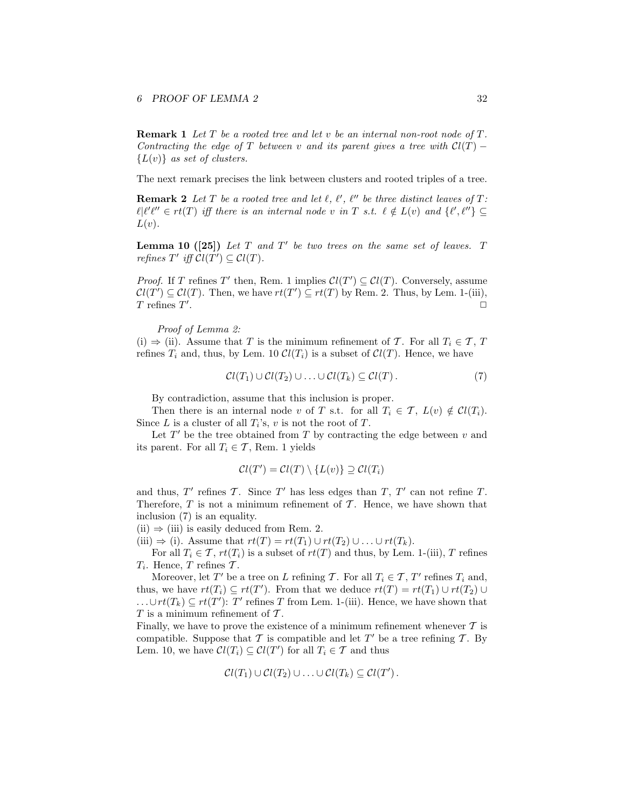**Remark 1** Let  $T$  be a rooted tree and let  $v$  be an internal non-root node of  $T$ . Contracting the edge of T between v and its parent gives a tree with  $Cl(T)$  –  ${L(v)}$  as set of clusters.

The next remark precises the link between clusters and rooted triples of a tree.

**Remark 2** Let T be a rooted tree and let  $\ell$ ,  $\ell'$ ,  $\ell''$  be three distinct leaves of T:  $\ell$ | $\ell' \ell'' \in rt(T)$  iff there is an internal node v in T s.t.  $\ell \notin L(v)$  and  $\{\ell', \ell''\} \subseteq$  $L(v)$ .

**Lemma 10** ([25]) Let  $T$  and  $T'$  be two trees on the same set of leaves.  $T$ refines  $T'$  iff  $Cl(T') \subseteq Cl(T)$ .

*Proof.* If T refines T' then, Rem. 1 implies  $Cl(T') \subseteq Cl(T)$ . Conversely, assume  $Cl(T') \subseteq Cl(T)$ . Then, we have  $rt(T') \subseteq rt(T)$  by Rem. 2. Thus, by Lem. 1-(iii),  $T$  refines  $T'$ . ✷

Proof of Lemma 2:

(i)  $\Rightarrow$  (ii). Assume that T is the minimum refinement of T. For all  $T_i \in \mathcal{T}$ , T refines  $T_i$  and, thus, by Lem. 10  $Cl(T_i)$  is a subset of  $Cl(T)$ . Hence, we have

$$
\mathcal{C}l(T_1)\cup\mathcal{C}l(T_2)\cup\ldots\cup\mathcal{C}l(T_k)\subseteq\mathcal{C}l(T).
$$
\n(7)

By contradiction, assume that this inclusion is proper.

Then there is an internal node v of T s.t. for all  $T_i \in \mathcal{T}$ ,  $L(v) \notin \mathcal{C}l(T_i)$ . Since L is a cluster of all  $T_i$ 's, v is not the root of T.

Let  $T'$  be the tree obtained from  $T$  by contracting the edge between  $v$  and its parent. For all  $T_i \in \mathcal{T}$ , Rem. 1 yields

$$
\mathcal{C}l(T') = \mathcal{C}l(T) \setminus \{L(v)\} \supseteq \mathcal{C}l(T_i)
$$

and thus,  $T'$  refines  $T$ . Since  $T'$  has less edges than  $T$ ,  $T'$  can not refine  $T$ . Therefore,  $T$  is not a minimum refinement of  $T$ . Hence, we have shown that inclusion (7) is an equality.

 $(ii) \Rightarrow (iii)$  is easily deduced from Rem. 2.

(iii)  $\Rightarrow$  (i). Assume that  $rt(T) = rt(T_1) \cup rt(T_2) \cup ... \cup rt(T_k)$ .

For all  $T_i \in \mathcal{T}$ ,  $rt(T_i)$  is a subset of  $rt(T)$  and thus, by Lem. 1-(iii), T refines  $T_i$ . Hence, T refines T.

Moreover, let  $T'$  be a tree on L refining T. For all  $T_i \in \mathcal{T}$ ,  $T'$  refines  $T_i$  and, thus, we have  $rt(T_i) \subseteq rt(T')$ . From that we deduce  $rt(T) = rt(T_1) \cup rt(T_2) \cup$ ...∪ $rt(T_k) \subseteq rt(T')$ : T' refines T from Lem. 1-(iii). Hence, we have shown that  $T$  is a minimum refinement of  $T$ .

Finally, we have to prove the existence of a minimum refinement whenever  $\mathcal T$  is compatible. Suppose that  $\mathcal T$  is compatible and let  $T'$  be a tree refining  $\mathcal T$ . By Lem. 10, we have  $Cl(T_i) \subseteq Cl(T')$  for all  $T_i \in \mathcal{T}$  and thus

$$
\mathcal{C}l(T_1)\cup\mathcal{C}l(T_2)\cup\ldots\cup\mathcal{C}l(T_k)\subseteq\mathcal{C}l(T')\,.
$$